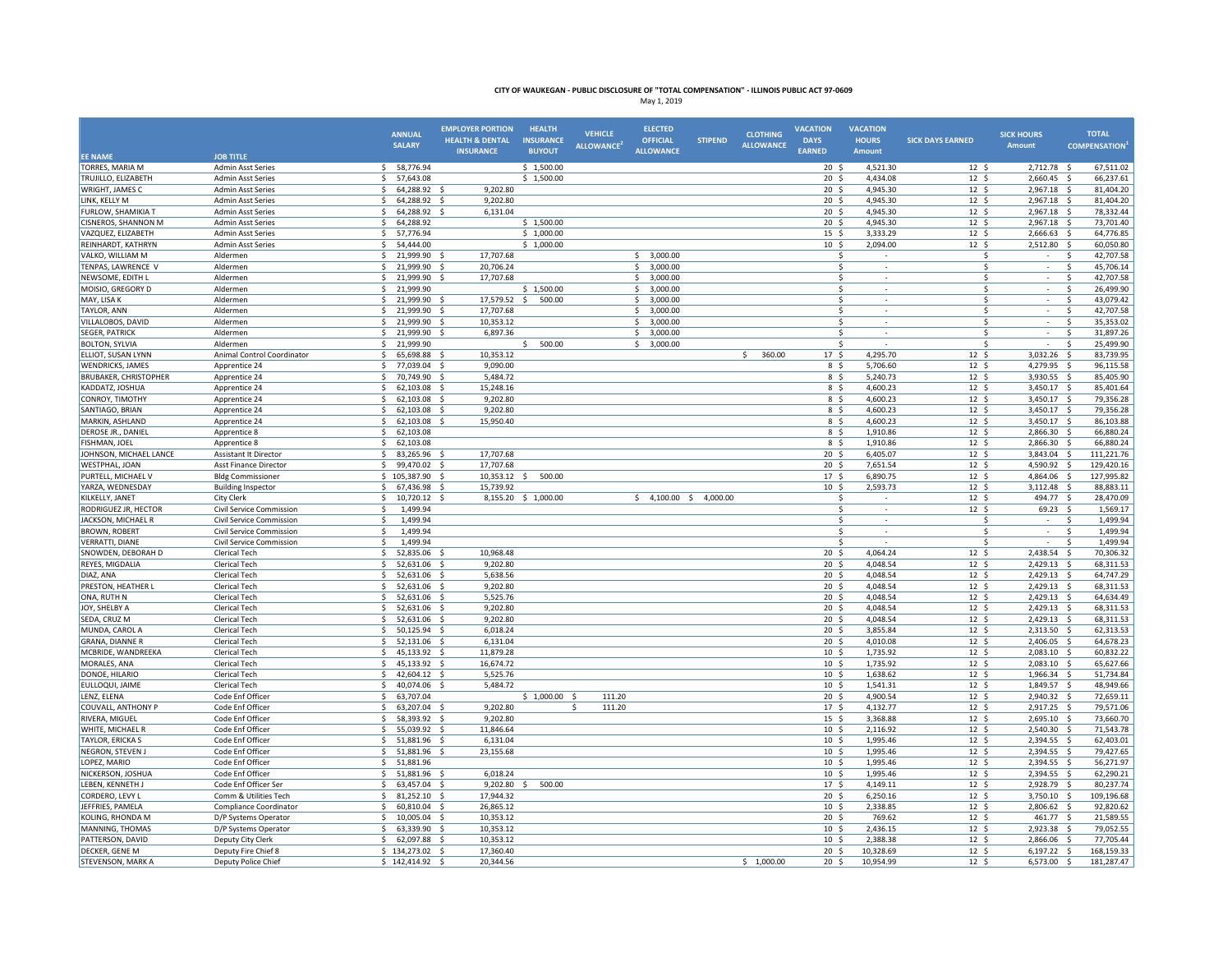|                                                  |                                                      | <b>ANNUAL</b><br><b>SALARY</b>                     | <b>EMPLOYER PORTION</b><br><b>HEALTH &amp; DENTAL</b><br><b>INSURANCE</b> | <b>HEALTH</b><br><b>INSURANCE</b><br><b>BUYOUT</b> | <b>VEHICLE</b><br><b>ALLOWANCE</b> | <b>ELECTED</b><br><b>OFFICIAL</b><br><b>ALLOWANCE</b> | <b>STIPEND</b> | <b>CLOTHING</b><br><b>ALLOWANCE</b> | <b>VACATION</b><br><b>DAYS</b><br>EARNED | <b>VACATION</b><br><b>HOURS</b><br>Amount | <b>SICK DAYS EARNED</b>              | <b>SICK HOURS</b><br><b>Amount</b> | <b>TOTAL</b><br><b>COMPENSATION</b> |
|--------------------------------------------------|------------------------------------------------------|----------------------------------------------------|---------------------------------------------------------------------------|----------------------------------------------------|------------------------------------|-------------------------------------------------------|----------------|-------------------------------------|------------------------------------------|-------------------------------------------|--------------------------------------|------------------------------------|-------------------------------------|
| <b>EE NAME</b>                                   | <b>JOB TITLE</b>                                     |                                                    |                                                                           |                                                    |                                    |                                                       |                |                                     |                                          |                                           |                                      |                                    |                                     |
| TORRES, MARIA M                                  | <b>Admin Asst Series</b>                             | 58,776.94<br>S.                                    |                                                                           | \$1,500.00                                         |                                    |                                                       |                |                                     | 20 <sup>5</sup>                          | 4,521.30                                  | 12 <sup>5</sup>                      | 2,712.78 \$                        | 67,511.02                           |
| TRUJILLO, ELIZABETH                              | <b>Admin Asst Series</b>                             | 57,643.08<br>\$                                    |                                                                           | \$1,500.00                                         |                                    |                                                       |                |                                     | $20 \frac{2}{3}$                         | 4,434.08                                  | $12 \quad$                           | $2,660.45$ \$                      | 66,237.61                           |
| WRIGHT, JAMES C                                  | <b>Admin Asst Series</b>                             | 64,288.92<br>$\mathsf{S}$<br>$\mathsf{s}$          | 9,202.80                                                                  |                                                    |                                    |                                                       |                |                                     | 20 <sub>5</sub>                          | 4,945.30                                  | 12 <sup>5</sup>                      | 2,967.18 \$                        | 81,404.20                           |
| LINK, KELLY M                                    | <b>Admin Asst Series</b>                             | 64,288.92                                          | 9,202.80                                                                  |                                                    |                                    |                                                       |                |                                     | 20 <sub>5</sub>                          | 4,945.30                                  | 12 <sup>5</sup>                      | 2,967.18                           | 81,404.20<br>-Ś                     |
| <b>FURLOW, SHAMIKIA T</b>                        | <b>Admin Asst Series</b>                             | -Ś<br>64,288.92<br>64,288.92                       | 6,131.04                                                                  |                                                    |                                    |                                                       |                |                                     | $20 \frac{2}{3}$<br>20 <sub>5</sub>      | 4,945.30<br>4,945.30                      | $12 \frac{2}{7}$                     | 2,967.18                           | 78,332.44<br>- \$<br>73,701.40      |
| <b>CISNEROS, SHANNON M</b><br>VAZQUEZ, ELIZABETH | <b>Admin Asst Series</b><br><b>Admin Asst Series</b> | \$<br>57,776.94<br>\$                              |                                                                           | \$1,500.00<br>\$1,000.00                           |                                    |                                                       |                |                                     | $15 \;$ \$                               | 3,333.29                                  | $12 \frac{2}{7}$<br>$12 \frac{2}{7}$ | 2,967.18<br>2,666.63               | - \$<br>64,776.85<br>- \$           |
| REINHARDT, KATHRYN                               | <b>Admin Asst Series</b>                             | 54,444.00<br>-S                                    |                                                                           | \$1,000.00                                         |                                    |                                                       |                |                                     | 10 <sup>5</sup>                          | 2,094.00                                  | 12 <sup>5</sup>                      | 2,512.80                           | 60,050.80<br>−\$                    |
| VALKO, WILLIAM M                                 | Aldermen                                             | -Ś<br>21,999.90                                    | 17,707.68                                                                 |                                                    |                                    | 3,000.00<br>\$                                        |                |                                     | \$                                       |                                           | \$                                   |                                    | 42,707.58<br>-Ś                     |
| TENPAS, LAWRENCE V                               | Aldermen                                             | 21,999.90<br>-Ś                                    | 20,706.24                                                                 |                                                    |                                    | Ś.<br>3,000.00                                        |                |                                     | \$                                       | $\sim$                                    | \$                                   | $\sim$                             | 45,706.14<br>-Ś                     |
| NEWSOME, EDITH L                                 | Aldermen                                             | 21,999.90<br>$\mathcal{S}$                         | 17.707.68<br>$\mathcal{S}$                                                |                                                    |                                    | 3,000.00<br>Ś.                                        |                |                                     | \$                                       |                                           | Ś                                    | $\sim$                             | <sub>S</sub><br>42.707.58           |
| MOISIO, GREGORY D                                | Aldermen                                             | -S<br>21,999.90                                    |                                                                           | \$1,500.00                                         |                                    | 3,000.00<br>Ś.                                        |                |                                     | Ś                                        | $\sim$                                    | Ŝ                                    | $\sim$                             | 26,499.90<br>-Ś                     |
| MAY, LISA K                                      | Aldermen                                             | \$<br>21,999.90 \$                                 | 17,579.52                                                                 | \$500.00                                           |                                    | \$<br>3,000.00                                        |                |                                     | Ś                                        | $\mathbf{r}$                              | Ŝ.                                   | $\sim$                             | 43,079.42<br>\$                     |
| <b>TAYLOR, ANN</b>                               | Aldermen                                             | <sub>S</sub><br>21,999.90                          | 17,707.68                                                                 |                                                    |                                    | Ś.<br>3,000.00                                        |                |                                     | \$                                       |                                           | \$                                   |                                    | <sub>S</sub><br>42,707.58           |
| VILLALOBOS, DAVID                                | Aldermen                                             | $\mathcal{S}$<br>21,999.90                         | 10,353.12                                                                 |                                                    |                                    | Ś.<br>3,000.00                                        |                |                                     | Ś                                        |                                           | Ŝ.                                   |                                    | 35,353.02<br>$\mathcal{S}$          |
| <b>SEGER, PATRICK</b>                            | Aldermen                                             | \$<br>21.999.90                                    | 6,897.36<br>- S                                                           |                                                    |                                    | \$<br>3.000.00                                        |                |                                     | Ś                                        |                                           | Ŝ.                                   | $\sim$                             | 31.897.26<br>-Ś                     |
| <b>BOLTON, SYLVIA</b>                            | Aldermen                                             | 21,999.90<br>\$                                    |                                                                           | 500.00<br>\$.                                      |                                    | \$3,000.00                                            |                |                                     | \$                                       |                                           | \$                                   | $\sim$                             | 25,499.90<br>-\$                    |
| <b>ELLIOT, SUSAN LYNN</b>                        | Animal Control Coordinator                           | \$<br>65,698.88                                    | 10,353.12                                                                 |                                                    |                                    |                                                       |                | 360.00<br>\$                        | 17 <sup>5</sup>                          | 4,295.70                                  | 12 <sup>5</sup>                      | 3,032.26                           | 83,739.95<br>-\$                    |
| <b>WENDRICKS, JAMES</b>                          | Apprentice 24                                        | <sub>S</sub><br>77,039.04                          | 9,090.00                                                                  |                                                    |                                    |                                                       |                |                                     | 8 \$                                     | 5,706.60                                  | 12 <sup>5</sup>                      | 4,279.95                           | 96,115.58<br><sub>S</sub>           |
| <b>BRUBAKER, CHRISTOPHER</b>                     | Apprentice 24                                        | 70.749.90<br>-Ś                                    | 5.484.72                                                                  |                                                    |                                    |                                                       |                |                                     | 8 \$                                     | 5,240.73                                  | 12 <sup>5</sup>                      | 3,930.55                           | 85,405.90<br>−\$                    |
| KADDATZ, JOSHUA                                  | Apprentice 24                                        | 62,103.08<br>\$                                    | 15,248.16                                                                 |                                                    |                                    |                                                       |                |                                     | 8\$                                      | 4,600.23                                  | $12 \; \text{S}$                     | 3,450.17                           | 85,401.64                           |
| CONROY, TIMOTHY                                  | Apprentice 24                                        | \$<br>62,103.08                                    | 9,202.80<br>- S                                                           |                                                    |                                    |                                                       |                |                                     | 8 \$                                     | 4,600.23                                  | $12 \quad$                           | 3,450.17 \$                        | 79,356.28                           |
| SANTIAGO, BRIAN                                  | Apprentice 24                                        | \$<br>62,103.08 \$                                 | 9,202.80                                                                  |                                                    |                                    |                                                       |                |                                     | 8 \$                                     | 4,600.23                                  | 12 <sup>5</sup>                      | 3,450.17 \$                        | 79,356.28                           |
| MARKIN, ASHLAND                                  | Apprentice 24                                        | \$<br>62,103.08                                    | 15,950.40<br>- 5                                                          |                                                    |                                    |                                                       |                |                                     | 8 \$                                     | 4,600.23                                  | 12 <sup>5</sup>                      | 3,450.17                           | -\$<br>86,103.88                    |
| DEROSE JR., DANIEL                               | Apprentice 8                                         | \$<br>62,103.08                                    |                                                                           |                                                    |                                    |                                                       |                |                                     | 8\$                                      | 1,910.86                                  | $12 \frac{2}{7}$                     | 2,866.30                           | 66,880.24<br>-\$                    |
| FISHMAN, JOEL                                    | Apprentice 8                                         | 62,103.08<br>\$                                    |                                                                           |                                                    |                                    |                                                       |                |                                     | 8 <sup>5</sup>                           | 1,910.86                                  | 12 <sup>5</sup>                      | 2,866.30 \$                        | 66,880.24                           |
| JOHNSON, MICHAEL LANCE                           | Assistant It Director                                | S.<br>83,265.96                                    | 17,707.68                                                                 |                                                    |                                    |                                                       |                |                                     | 20 <sub>5</sub>                          | 6,405.07                                  | 12 <sup>5</sup>                      | 3,843.04 \$                        | 111,221.76                          |
| <b>WESTPHAL, JOAN</b>                            | Asst Finance Director                                | Ŝ.<br>99,470.02                                    | 17.707.68<br>- S                                                          |                                                    |                                    |                                                       |                |                                     | 20 <sub>5</sub>                          | 7,651.54                                  | 12 <sup>5</sup>                      | 4,590.92                           | s.<br>129,420.16                    |
| PURTELL, MICHAEL V                               | <b>Bldg Commissioner</b>                             | \$<br>105,387.90                                   | 10,353.12                                                                 | 500.00<br>Ŝ                                        |                                    |                                                       |                |                                     | 17 <sup>5</sup>                          | 6,890.75                                  | $12 \;$ \$                           | 4,864.06                           | 127,995.82<br>-Ś                    |
| YARZA, WEDNESDAY                                 | <b>Building Inspector</b>                            | -Ś<br>67,436.98                                    | - Ś<br>15,739.92                                                          |                                                    |                                    |                                                       |                |                                     | 10 <sup>5</sup>                          | 2,593.73                                  | 12 <sup>5</sup>                      | 3,112.48                           | 88,883.11<br>-\$                    |
| KILKELLY, JANET                                  | City Clerk                                           | 10,720.12<br>\$                                    | - \$                                                                      | 8,155.20 \$ 1,000.00                               |                                    | $$4,100.00$$ $$4,000.00$                              |                |                                     | \$                                       | $\sim$                                    | $12 \frac{2}{7}$                     | 494.77 \$                          | 28,470.09                           |
| RODRIGUEZ JR, HECTOR                             | <b>Civil Service Commission</b>                      | 1,499.94<br>-S                                     |                                                                           |                                                    |                                    |                                                       |                |                                     | Ś.                                       | $\sim$                                    | 12 <sup>5</sup>                      | 69.23                              | 1,569.17<br>- S                     |
| JACKSON, MICHAEL R                               | Civil Service Commission                             | $\hat{\zeta}$<br>1,499.94                          |                                                                           |                                                    |                                    |                                                       |                |                                     | Ś                                        |                                           | \$                                   |                                    | <sub>S</sub><br>1,499.94            |
| <b>BROWN, ROBERT</b>                             | Civil Service Commission                             | \$<br>1,499.94                                     |                                                                           |                                                    |                                    |                                                       |                |                                     | \$                                       |                                           | \$                                   | ÷.                                 | $\mathsf{S}$<br>1,499.94            |
| <b>VERRATTI, DIANE</b>                           | <b>Civil Service Commission</b>                      | \$<br>1,499.94                                     |                                                                           |                                                    |                                    |                                                       |                |                                     | \$.                                      |                                           | Ŝ.                                   | $\sim$                             | <sub>S</sub><br>1,499.94            |
| SNOWDEN, DEBORAH D                               | Clerical Tech                                        | 52,835.06<br>-S                                    | 10,968.48                                                                 |                                                    |                                    |                                                       |                |                                     | 20 <sub>5</sub>                          | 4,064.24                                  | 12 <sup>5</sup>                      | 2,438.54                           | 70,306.32<br>- \$                   |
| REYES, MIGDALIA                                  | Clerical Tech                                        | 52,631.06<br>-Ś                                    | 9,202.80<br>- Ś                                                           |                                                    |                                    |                                                       |                |                                     | 20 <sup>5</sup>                          | 4,048.54                                  | 12 <sup>5</sup>                      | 2,429.13 \$                        | 68,311.53                           |
| DIAZ, ANA                                        | Clerical Tech                                        | $\mathcal{S}$<br>52,631.06                         | 5,638.56<br>$\dot{\mathbf{S}}$                                            |                                                    |                                    |                                                       |                |                                     | 20 <sub>5</sub>                          | 4,048.54                                  | 12 <sup>5</sup>                      | 2,429.13                           | 64,747.29<br>$\mathbf{\hat{S}}$     |
| PRESTON, HEATHER L                               | Clerical Tech                                        | <sub>S</sub><br>52,631.06                          | 9,202.80                                                                  |                                                    |                                    |                                                       |                |                                     | 20 <sub>5</sub>                          | 4,048.54                                  | 12 <sup>5</sup>                      | 2,429.13                           | 68,311.53<br>-Ś                     |
| ONA, RUTH N                                      | Clerical Tech                                        | Ŝ.<br>52.631.06                                    | 5.525.76<br>- 5                                                           |                                                    |                                    |                                                       |                |                                     | 20 <sup>5</sup>                          | 4.048.54                                  | 12 <sup>5</sup>                      | $2.429.13$ \$                      | 64.634.49                           |
| JOY, SHELBY A                                    | Clerical Tech                                        | 52,631.06<br>\$                                    | 9,202.80<br>- S                                                           |                                                    |                                    |                                                       |                |                                     | $20 \frac{2}{3}$                         | 4,048.54                                  | $12 \frac{2}{7}$                     | 2,429.13 \$                        | 68,311.53                           |
| SEDA, CRUZ M                                     | Clerical Tech                                        | S.<br>52,631.06 \$                                 | 9,202.80                                                                  |                                                    |                                    |                                                       |                |                                     | 20 <sup>5</sup>                          | 4,048.54                                  | $12 \; \text{S}$                     | 2,429.13 \$                        | 68,311.53                           |
| MUNDA, CAROL A                                   | Clerical Tech                                        | \$<br>50,125.94 \$                                 | 6,018.24                                                                  |                                                    |                                    |                                                       |                |                                     | 20 <sub>5</sub>                          | 3,855.84                                  | 12 <sup>5</sup>                      | 2,313.50 \$                        | 62,313.53                           |
| <b>GRANA, DIANNE R</b>                           | Clerical Tech                                        | \$<br>52,131.06                                    | - \$<br>6,131.04                                                          |                                                    |                                    |                                                       |                |                                     | 20 <sub>5</sub>                          | 4,010.08                                  | 12 <sup>5</sup>                      | 2,406.05 \$                        | 64,678.23                           |
| MCBRIDE, WANDREEKA                               | Clerical Tech                                        | \$<br>45,133.92                                    | - \$<br>11,879.28                                                         |                                                    |                                    |                                                       |                |                                     | 10 <sup>5</sup><br>10 <sup>5</sup>       | 1,735.92                                  | $12 \quad$                           | 2,083.10 \$                        | 60,832.22<br>65,627.66              |
| MORALES, ANA<br>DONOE, HILARIO                   | Clerical Tech<br>Clerical Tech                       | 45,133.92 \$<br>\$<br>42,604.12 \$<br>$\mathsf{S}$ | 16,674.72<br>5,525.76                                                     |                                                    |                                    |                                                       |                |                                     | 10 <sup>5</sup>                          | 1,735.92<br>1,638.62                      | $12 \quad$<br>12 <sup>5</sup>        | 2,083.10 \$<br>1,966.34            | 51,734.84<br>$\mathbf{\hat{S}}$     |
| EULLOQUI, JAIME                                  | Clerical Tech                                        | $\mathcal{S}$<br>40,074.06                         | 5.484.72<br>-S                                                            |                                                    |                                    |                                                       |                |                                     | 10 <sup>5</sup>                          | 1,541.31                                  | $12 \quad$                           | 1,849.57                           | 48,949.66<br>-Ś                     |
| LENZ, ELENA                                      | Code Enf Officer                                     | -Ś<br>63,707.04                                    |                                                                           | \$1,000.00                                         | 111.20                             |                                                       |                |                                     | $20 \frac{2}{3}$                         | 4,900.54                                  | $12 \frac{2}{7}$                     | 2,940.32                           | 72,659.11                           |
| <b>COUVALL, ANTHONY P</b>                        | Code Enf Officer                                     | 63,207.04<br>S,                                    | 9,202.80                                                                  |                                                    | 111.20<br>\$.                      |                                                       |                |                                     | 17 <sub>5</sub>                          | 4,132.77                                  | $12 \text{ }$                        | 2,917.25                           | 79,571.06<br>-\$                    |
| RIVERA, MIGUEL                                   | Code Enf Officer                                     | 58,393.92<br>\$                                    | 9,202.80<br>- \$                                                          |                                                    |                                    |                                                       |                |                                     | 15 <sup>5</sup>                          | 3,368.88                                  | $12 \frac{2}{7}$                     | 2,695.10 \$                        | 73,660.70                           |
| WHITE, MICHAEL R                                 | Code Enf Officer                                     | 55,039.92 \$<br>-S                                 | 11,846.64                                                                 |                                                    |                                    |                                                       |                |                                     | 10 <sup>5</sup>                          | 2,116.92                                  | 12 <sup>5</sup>                      | 2,540.30 \$                        | 71,543.78                           |
| <b>TAYLOR, ERICKA S</b>                          | Code Enf Officer                                     | $\mathsf{S}$<br>51,881.96 \$                       | 6,131.04                                                                  |                                                    |                                    |                                                       |                |                                     | 10 <sup>5</sup>                          | 1,995.46                                  | $12 \;$ \$                           | 2,394.55                           | 62,403.01<br>-\$                    |
| NEGRON, STEVEN J                                 | Code Enf Officer                                     | \$<br>51,881.96 \$                                 | 23,155.68                                                                 |                                                    |                                    |                                                       |                |                                     | 10 <sup>5</sup>                          | 1,995.46                                  | $12 \frac{2}{7}$                     | 2,394.55 \$                        | 79,427.65                           |
| LOPEZ, MARIO                                     | Code Enf Officer                                     | 51,881.96<br>\$                                    |                                                                           |                                                    |                                    |                                                       |                |                                     | 10 <sub>5</sub>                          | 1.995.46                                  | 12 <sup>5</sup>                      | 2,394.55 \$                        | 56,271.97                           |
| NICKERSON, JOSHUA                                | Code Enf Officer                                     | S.<br>51,881.96 \$                                 | 6,018.24                                                                  |                                                    |                                    |                                                       |                |                                     | 10 <sup>5</sup>                          | 1,995.46                                  | 12 <sup>5</sup>                      | 2,394.55 \$                        | 62,290.21                           |
| LEBEN, KENNETH J                                 | Code Enf Officer Ser                                 | \$<br>63,457.04                                    | - \$<br>9,202.80                                                          | 500.00<br>Ŝ                                        |                                    |                                                       |                |                                     | 17 <sup>5</sup>                          | 4,149.11                                  | 12 <sup>5</sup>                      | 2,928.79 \$                        | 80,237.74                           |
| CORDERO, LEVY L                                  | Comm & Utilities Tech                                | -Ś<br>81,252.10                                    | 17,944.32                                                                 |                                                    |                                    |                                                       |                |                                     | $20 \frac{2}{3}$                         | 6,250.16                                  | $12 \;$ \$                           | 3,750.10                           | 109,196.68<br>-\$                   |
| JEFFRIES, PAMELA                                 | Compliance Coordinator                               | -Ś<br>60,810.04                                    | 26,865.12                                                                 |                                                    |                                    |                                                       |                |                                     | 10 <sup>5</sup>                          | 2,338.85                                  | 12 <sup>5</sup>                      | 2,806.62                           | -\$<br>92,820.62                    |
| KOLING, RHONDA M                                 | D/P Systems Operator                                 | 10.005.04<br>-S                                    | 10.353.12<br>- \$                                                         |                                                    |                                    |                                                       |                |                                     | 20 <sub>5</sub>                          | 769.62                                    | 12 <sup>5</sup>                      | 461.77                             | $\mathsf{S}$<br>21.589.55           |
| MANNING, THOMAS                                  | D/P Systems Operator                                 | \$<br>63,339.90 \$                                 | 10,353.12                                                                 |                                                    |                                    |                                                       |                |                                     | $10 \frac{2}{3}$                         | 2,436.15                                  | $12 \frac{2}{7}$                     | 2,923.38 \$                        | 79,052.55                           |
| PATTERSON, DAVID                                 | Deputy City Clerk                                    | \$<br>62,097.88 \$                                 | 10,353.12                                                                 |                                                    |                                    |                                                       |                |                                     | 10 <sup>5</sup>                          | 2,388.38                                  | 12 <sup>5</sup>                      | 2,866.06 \$                        | 77,705.44                           |
| <b>DECKER, GENE M</b>                            | Deputy Fire Chief 8                                  | \$134,273.02                                       | $\mathsf{S}$<br>17,360.40                                                 |                                                    |                                    |                                                       |                |                                     | 20 <sub>5</sub>                          | 10,328.69                                 | 12 <sup>5</sup>                      | $6,197.22$ \$                      | 168,159.33                          |
| <b>STEVENSON, MARK A</b>                         | Deputy Police Chief                                  | 142,414.92 \$                                      | 20,344.56                                                                 |                                                    |                                    |                                                       |                | \$1,000.00                          | $20 \frac{2}{3}$                         | 10,954.99                                 | 12 <sup>5</sup>                      | 6,573.00 \$                        | 181,287.47                          |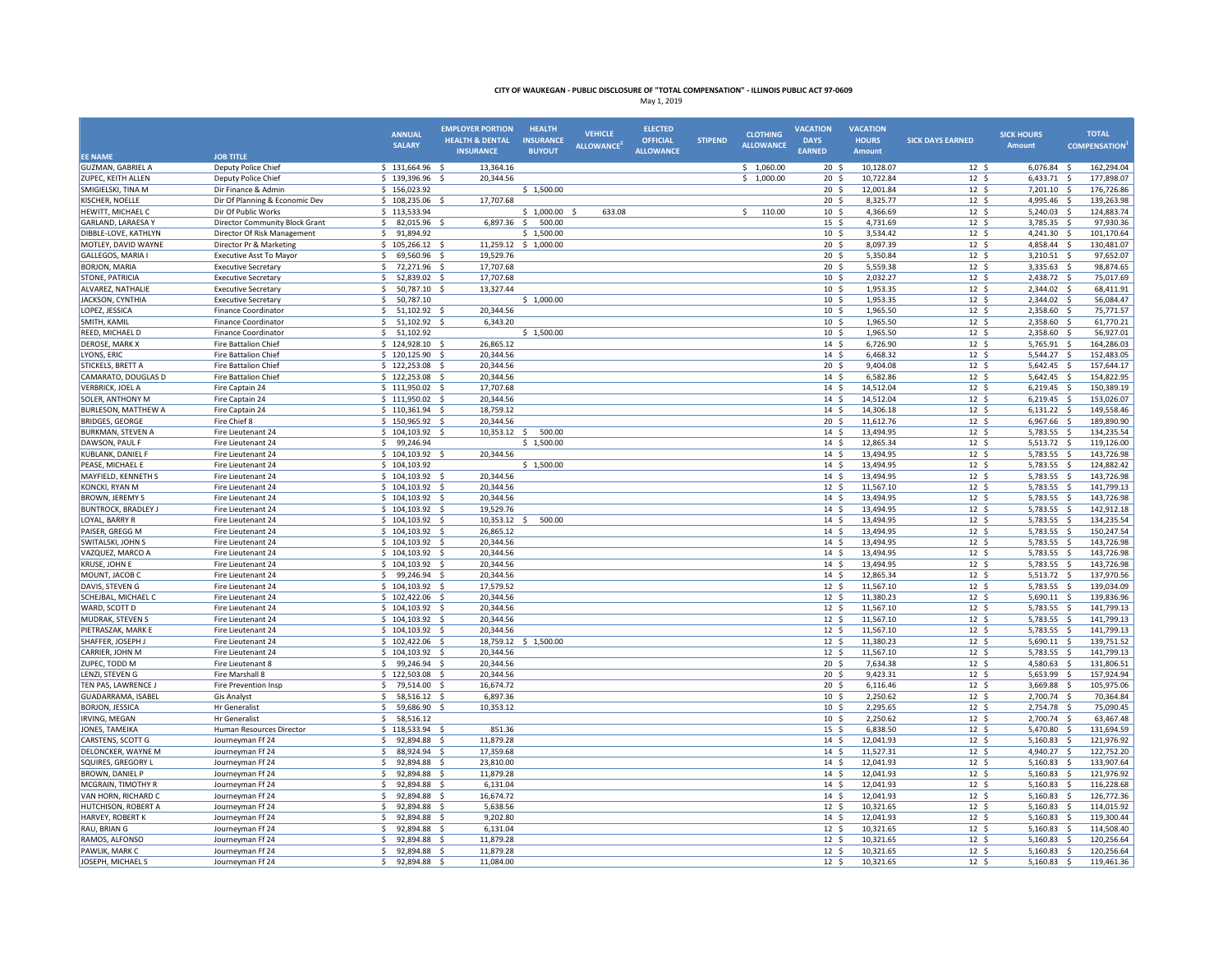|                                       |                                                          | <b>ANNUAL</b><br><b>SALARY</b>                  | <b>EMPLOYER PORTION</b><br><b>HEALTH &amp; DENTAL</b> | <b>HEALTH</b><br><b>INSURANCE</b> | <b>VEHICLE</b><br>ALLOWANCE <sup>2</sup> | <b>ELECTED</b><br><b>OFFICIAL</b> | <b>STIPEND</b> | <b>CLOTHING</b><br><b>ALLOWANCE</b> | <b>VACATION</b><br><b>DAYS</b>      | <b>VACATION</b><br><b>HOURS</b> | <b>SICK DAYS EARNED</b>            | <b>SICK HOURS</b><br><b>Amount</b> | <b>TOTAL</b><br><b>COMPENSATION</b> <sup>1</sup> |
|---------------------------------------|----------------------------------------------------------|-------------------------------------------------|-------------------------------------------------------|-----------------------------------|------------------------------------------|-----------------------------------|----------------|-------------------------------------|-------------------------------------|---------------------------------|------------------------------------|------------------------------------|--------------------------------------------------|
| <b>EE NAME</b>                        | <b>JOB TITLE</b>                                         |                                                 | <b>INSURANCE</b>                                      | <b>BUYOUT</b>                     |                                          | <b>ALLOWANCE</b>                  |                |                                     | <b>EARNED</b>                       | Amount                          |                                    |                                    |                                                  |
| <b>GUZMAN, GABRIEL A</b>              | Deputy Police Chief                                      | $$131,664.96$ \$                                | 13,364.16                                             |                                   |                                          |                                   |                | \$1,060.00                          | 20 <sub>5</sub>                     | 10,128.07                       | 12 <sup>5</sup>                    | $6,076.84$ \$                      | 162,294.04                                       |
| ZUPEC, KEITH ALLEN                    | Deputy Police Chief                                      | \$139,396.96                                    | - \$<br>20,344.56                                     |                                   |                                          |                                   |                | \$1,000.00                          | 20 <sub>5</sub>                     | 10,722.84                       | 12 <sup>5</sup>                    | 6,433.71                           | 177,898.07<br>5                                  |
| SMIGIELSKI, TINA M                    | Dir Finance & Admin                                      | \$156,023.92                                    |                                                       | \$1,500.00                        |                                          |                                   |                |                                     | $20 \frac{2}{3}$                    | 12,001.84                       | 12 <sup>5</sup>                    | $7,201.10$ \$                      | 176,726.86                                       |
| KISCHER, NOELLE                       | Dir Of Planning & Economic Dev                           | \$108,235.06\$                                  | 17,707.68                                             |                                   |                                          |                                   |                |                                     | 20 <sub>5</sub>                     | 8,325.77                        | 12 <sup>5</sup>                    | 4,995.46 \$                        | 139,263.98                                       |
| HEWITT, MICHAEL C                     | Dir Of Public Works                                      | \$113,533.94                                    |                                                       | \$1,000.00\$                      | 633.08                                   |                                   |                | $\mathsf{S}$<br>110.00              | 10 <sup>5</sup>                     | 4,366.69                        | $12 \quad$                         | 5,240.03                           | 124,883.74<br>$\mathsf{S}$                       |
| GARLAND, LARAESA Y                    | Director Community Block Grant                           | -Ś<br>82,015.96                                 | 6,897.36<br>- S                                       | \$<br>500.00                      |                                          |                                   |                |                                     | $15 \frac{2}{3}$                    | 4,731.69                        | $12 \text{ }$                      | 3,785.35                           | -Ś<br>97,930.36                                  |
| DIBBLE-LOVE, KATHLYN                  | Director Of Risk Management                              | S.<br>91,894.92                                 |                                                       | \$1,500.00                        |                                          |                                   |                |                                     | 10 <sup>5</sup>                     | 3,534.42                        | 12 <sup>5</sup>                    | 4,241.30 \$                        | 101,170.64                                       |
| MOTLEY, DAVID WAYNE                   | Director Pr & Marketing                                  | \$105,266.12                                    |                                                       | 11,259.12 \$ 1,000.00             |                                          |                                   |                |                                     | 20 <sub>5</sub>                     | 8,097.39                        | $12 \div$                          | 4,858.44                           | 130,481.07<br>- \$                               |
| <b>GALLEGOS, MARIA I</b>              | <b>Executive Asst To Mayor</b>                           | 69,560.96<br>S.                                 | 19,529.76<br>- \$                                     |                                   |                                          |                                   |                |                                     | 20 <sup>5</sup>                     | 5,350.84                        | 12 <sup>5</sup>                    | 3,210.51                           | 97,652.07<br>- \$                                |
| <b>BORJON, MARIA</b>                  | <b>Executive Secretary</b>                               | -Ś<br>72,271.96                                 | 17,707.68<br>- \$                                     |                                   |                                          |                                   |                |                                     | 20 <sup>5</sup>                     | 5,559.38                        | 12 <sup>5</sup>                    | 3,335.63                           | 98,874.65<br>- Ś                                 |
| STONE, PATRICIA                       | <b>Executive Secretary</b>                               | $\dot{\mathbf{s}}$<br>52,839.02<br>50,787.10 \$ | 17,707.68<br>-S                                       |                                   |                                          |                                   |                |                                     | 10 <sup>5</sup><br>10 <sup>5</sup>  | 2,032.27                        | $12 \text{ }$                      | 2,438.72                           | 75,017.69<br>−\$                                 |
| ALVAREZ, NATHALIE<br>JACKSON, CYNTHIA | <b>Executive Secretary</b>                               | \$<br>S.<br>50,787.10                           | 13,327.44                                             | \$1,000.00                        |                                          |                                   |                |                                     | 10 <sup>5</sup>                     | 1,953.35<br>1,953.35            | $12 \div$<br>12 <sup>5</sup>       | 2,344.02<br>2,344.02               | 68,411.91<br>- \$<br>56,084.47<br>- \$           |
| LOPEZ, JESSICA                        | <b>Executive Secretary</b><br><b>Finance Coordinator</b> | $\zeta$<br>51,102.92 \$                         | 20.344.56                                             |                                   |                                          |                                   |                |                                     | 10 <sup>5</sup>                     | 1,965.50                        | 12 <sup>5</sup>                    | 2,358.60 \$                        | 75,771.57                                        |
| SMITH, KAMIL                          | <b>Finance Coordinator</b>                               | \$<br>51,102.92 \$                              | 6,343.20                                              |                                   |                                          |                                   |                |                                     | $10 \frac{2}{3}$                    | 1,965.50                        | $12 \quad$                         | 2,358.60                           | 61,770.21<br>- Ś                                 |
| REED, MICHAEL D                       | <b>Finance Coordinator</b>                               | S.<br>51,102.92                                 |                                                       | \$1,500.00                        |                                          |                                   |                |                                     | $10 \frac{2}{3}$                    | 1,965.50                        | $12 \text{ }$                      | 2,358.60 \$                        | 56,927.01                                        |
| <b>DEROSE, MARK X</b>                 | Fire Battalion Chief                                     | \$124,928.10 \$                                 | 26,865.12                                             |                                   |                                          |                                   |                |                                     | 14 <sup>5</sup>                     | 6,726.90                        | $12 \quad$                         | 5,765.91                           | 164,286.03<br>$\ddot{\mathsf{S}}$                |
| LYONS, ERIC                           | Fire Battalion Chief                                     | \$120,125.90\$                                  | 20,344.56                                             |                                   |                                          |                                   |                |                                     | 14 <sup>5</sup>                     | 6,468.32                        | 12 <sup>5</sup>                    | 5,544.27 \$                        | 152,483.05                                       |
| <b>STICKELS, BRETT A</b>              | Fire Battalion Chief                                     | \$122,253.08                                    | 20.344.56<br>- \$                                     |                                   |                                          |                                   |                |                                     | 20 <sub>5</sub>                     | 9,404.08                        | $12 \quad$                         | 5,642.45 \$                        | 157,644.17                                       |
| CAMARATO, DOUGLAS D                   | Fire Battalion Chief                                     | \$122,253.08                                    | 20,344.56<br>- S                                      |                                   |                                          |                                   |                |                                     | $14 \;$ \$                          | 6,582.86                        | $12 \quad$                         | 5,642.45                           | 154,822.95<br>$\dot{\mathbf{S}}$                 |
| <b>VERBRICK, JOEL A</b>               | Fire Captain 24                                          | \$111,950.02                                    | 17,707.68<br>- \$                                     |                                   |                                          |                                   |                |                                     | 14 <sup>5</sup>                     | 14,512.04                       | 12 <sup>5</sup>                    | 6,219.45                           | 150,389.19<br>- \$                               |
| <b>SOLER, ANTHONY M</b>               | Fire Captain 24                                          | \$11,950.02\$                                   | 20,344.56                                             |                                   |                                          |                                   |                |                                     | 14 <sup>5</sup>                     | 14,512.04                       | $12 \div$                          | $6,219.45$ \$                      | 153,026.07                                       |
| <b>BURLESON, MATTHEW A</b>            | Fire Captain 24                                          | \$110,361.94\$                                  | 18,759.12                                             |                                   |                                          |                                   |                |                                     | 14 <sup>5</sup>                     | 14,306.18                       | 12 <sup>5</sup>                    | $6,131.22$ \$                      | 149,558.46                                       |
| <b>BRIDGES, GEORGE</b>                | Fire Chief 8                                             | \$150,965.92\$                                  | 20,344.56                                             |                                   |                                          |                                   |                |                                     | $20 \frac{2}{3}$                    | 11,612.76                       | $12 \div$                          | 6,967.66 \$                        | 189,890.90                                       |
| <b>BURKMAN, STEVEN A</b>              | Fire Lieutenant 24                                       | \$104,103.92                                    | - \$                                                  | 10,353.12 \$ 500.00               |                                          |                                   |                |                                     | $14 \text{ }$                       | 13,494.95                       | $12 \quad$                         | 5,783.55 \$                        | 134,235.54                                       |
| DAWSON, PAUL F                        | Fire Lieutenant 24                                       | 99,246.94<br>-\$                                |                                                       | \$1,500.00                        |                                          |                                   |                |                                     | 14S                                 | 12,865.34                       | 12 <sup>5</sup>                    | 5,513.72 \$                        | 119,126.00                                       |
| <b>KUBLANK, DANIEL F</b>              | Fire Lieutenant 24                                       | \$104,103.92\$                                  | 20,344.56                                             |                                   |                                          |                                   |                |                                     | 14 <sup>5</sup>                     | 13,494.95                       | 12 <sup>5</sup>                    | 5,783.55 \$                        | 143,726.98                                       |
| PEASE, MICHAEL E                      | Fire Lieutenant 24                                       | \$104,103.92                                    |                                                       | \$1,500.00                        |                                          |                                   |                |                                     | 14S                                 | 13,494.95                       | 12 <sup>5</sup>                    | 5,783.55 \$                        | 124,882.42                                       |
| MAYFIELD, KENNETH S                   | Fire Lieutenant 24                                       | \$104,103.92                                    | 20,344.56                                             |                                   |                                          |                                   |                |                                     | 14 <sub>5</sub>                     | 13,494.95                       | $12 \div$                          | 5,783.55                           | 143,726.98<br>-\$                                |
| KONCKI, RYAN M                        | Fire Lieutenant 24                                       | \$104,103.92                                    | 20,344.56                                             |                                   |                                          |                                   |                |                                     | 12 <sup>5</sup>                     | 11,567.10                       | 12 <sup>5</sup>                    | 5,783.55                           | - Ś<br>141,799.13                                |
| <b>BROWN, JEREMY S</b>                | Fire Lieutenant 24                                       | \$104,103.92\$                                  | 20,344.56                                             |                                   |                                          |                                   |                |                                     | 14 <sup>5</sup>                     | 13,494.95                       | 12 <sup>5</sup>                    | 5,783.55                           | s.<br>143,726.98                                 |
| <b>BUNTROCK, BRADLEY J</b>            | Fire Lieutenant 24                                       | $$104,103.92$ \$                                | 19,529.76                                             |                                   |                                          |                                   |                |                                     | 14 <sup>5</sup>                     | 13,494.95                       | 12 <sup>5</sup>                    | 5,783.55 \$                        | 142,912.18                                       |
| LOYAL, BARRY R                        | Fire Lieutenant 24                                       | \$104,103.92\$                                  |                                                       | 10,353.12 \$ 500.00               |                                          |                                   |                |                                     | 14S                                 | 13,494.95                       | $12 \text{ }$                      | 5,783.55 \$                        | 134,235.54                                       |
| PAISER, GREGG M                       | Fire Lieutenant 24                                       | $$104,103.92$ \$                                | 26,865.12                                             |                                   |                                          |                                   |                |                                     | 14S                                 | 13,494.95                       | $12 \div$                          | 5,783.55                           | 150,247.54<br>-\$                                |
| SWITALSKI, JOHN S                     | Fire Lieutenant 24                                       | \$104,103.92\$                                  | 20,344.56                                             |                                   |                                          |                                   |                |                                     | 14S                                 | 13,494.95                       | 12 <sup>5</sup>                    | 5,783.55 \$                        | 143,726.98                                       |
| VAZQUEZ, MARCO A                      | Fire Lieutenant 24                                       | \$104,103.92\$                                  | 20.344.56                                             |                                   |                                          |                                   |                |                                     | 14 <sup>5</sup>                     | 13,494.95                       | 12 <sup>5</sup>                    | 5,783.55 \$                        | 143,726.98                                       |
| <b>KRUSE, JOHN E</b>                  | Fire Lieutenant 24                                       | $$104,103.92$ \$<br>S.<br>99,246.94             | 20,344.56<br>20,344.56<br>- 5                         |                                   |                                          |                                   |                |                                     | 14S<br>14 <sup>5</sup>              | 13,494.95<br>12,865.34          | 12 <sup>5</sup>                    | 5,783.55 \$                        | 143,726.98<br>137,970.56<br>- \$                 |
| MOUNT, JACOB C<br>DAVIS, STEVEN G     | Fire Lieutenant 24<br>Fire Lieutenant 24                 | \$104,103.92                                    | 17,579.52                                             |                                   |                                          |                                   |                |                                     | $12 \frac{2}{7}$                    | 11,567.10                       | $12 \text{ }$<br>$12 \quad$        | 5,513.72<br>5,783.55               | 139,034.09<br>- Ś                                |
| SCHEJBAL, MICHAEL C                   | Fire Lieutenant 24                                       | 102,422.06 \$                                   | 20,344.56                                             |                                   |                                          |                                   |                |                                     | 12 <sup>5</sup>                     | 11,380.23                       | 12 <sup>5</sup>                    | 5,690.11                           | 139,836.96<br>- \$                               |
| WARD, SCOTT D                         | Fire Lieutenant 24                                       | \$104,103.92\$                                  | 20,344.56                                             |                                   |                                          |                                   |                |                                     | 12 <sup>5</sup>                     | 11,567.10                       | 12 <sup>5</sup>                    | 5,783.55                           | 141,799.13<br>$\mathsf{S}$                       |
| <b>MUDRAK, STEVEN S</b>               | Fire Lieutenant 24                                       | $$104,103.92$ \$                                | 20,344.56                                             |                                   |                                          |                                   |                |                                     | 12 <sup>5</sup>                     | 11,567.10                       | $12 \quad$                         | 5,783.55 \$                        | 141,799.13                                       |
| PIETRASZAK, MARK E                    | Fire Lieutenant 24                                       | \$104,103.92\$                                  | 20,344.56                                             |                                   |                                          |                                   |                |                                     | 12 <sup>5</sup>                     | 11,567.10                       | $12 \text{ }$                      | 5,783.55 \$                        | 141,799.13                                       |
| SHAFFER, JOSEPH.                      | Fire Lieutenant 24                                       | $$102,422.06$ \$                                |                                                       | 18,759.12 \$ 1,500.00             |                                          |                                   |                |                                     | $12 \frac{2}{7}$                    | 11,380.23                       | $12 \quad$                         | 5,690.11 \$                        | 139,751.52                                       |
| CARRIER, JOHN M                       | Fire Lieutenant 24                                       | \$104,103.92\$                                  | 20,344.56                                             |                                   |                                          |                                   |                |                                     | 12 <sup>5</sup>                     | 11,567.10                       | 12 <sup>5</sup>                    | 5,783.55 \$                        | 141,799.13                                       |
| ZUPEC, TODD M                         | Fire Lieutenant 8                                        | \$99,246.94\$                                   | 20,344.56                                             |                                   |                                          |                                   |                |                                     | 20 <sub>5</sub>                     | 7,634.38                        | 12 <sup>5</sup>                    | 4,580.63 \$                        | 131,806.51                                       |
| LENZI, STEVEN G                       | Fire Marshall 8                                          | \$122,503.08\$                                  | 20,344.56                                             |                                   |                                          |                                   |                |                                     | 20 <sub>5</sub>                     | 9,423.31                        | 12 <sup>5</sup>                    | 5,653.99 \$                        | 157,924.94                                       |
| TEN PAS, LAWRENCE J                   | Fire Prevention Insp                                     | \$<br>79,514.00                                 | 16,674.72<br>-\$                                      |                                   |                                          |                                   |                |                                     | 20 <sub>5</sub>                     | 6,116.46                        | $12 \div$                          | 3,669.88                           | 105,975.06<br>-\$                                |
| <b>GUADARRAMA, ISABEL</b>             | <b>Gis Analyst</b>                                       | Ŝ.<br>58,516.12                                 | 6,897.36                                              |                                   |                                          |                                   |                |                                     | 10 <sup>5</sup>                     | 2,250.62                        | 12 <sup>5</sup>                    | 2,700.74                           | 70,364.84                                        |
| <b>BORJON, JESSICA</b>                | Hr Generalist                                            | \$<br>59.686.90                                 | S.<br>10,353.12                                       |                                   |                                          |                                   |                |                                     | 10 <sub>5</sub>                     | 2.295.65                        | 12 <sup>5</sup>                    | 2,754.78                           | s.<br>75.090.45                                  |
| <b>IRVING, MEGAN</b>                  | Hr Generalist                                            | 58,516.12<br>-S                                 |                                                       |                                   |                                          |                                   |                |                                     | 10 <sup>5</sup>                     | 2,250.62                        | 12 <sup>5</sup>                    | 2,700.74 \$                        | 63,467.48                                        |
| JONES, TAMEIKA                        | Human Resources Director                                 | \$118,533.94\$                                  | 851.36                                                |                                   |                                          |                                   |                |                                     | $15 \frac{2}{3}$                    | 6,838.50                        | $12 \quad$                         | 5,470.80 \$                        | 131,694.59                                       |
| CARSTENS, SCOTT G                     | Journeyman Ff 24                                         | \$<br>92,894.88                                 | 11,879.28<br>$\mathbf{\hat{S}}$                       |                                   |                                          |                                   |                |                                     | 14 <sup>5</sup>                     | 12,041.93                       | 12 <sup>5</sup>                    | 5,160.83                           | $\mathsf{S}$<br>121,976.92                       |
| DELONCKER, WAYNE M                    | Journeyman Ff 24                                         | S.<br>88,924.94 \$                              | 17,359.68                                             |                                   |                                          |                                   |                |                                     | 14 <sup>5</sup>                     | 11,527.31                       | 12 <sup>5</sup>                    | 4,940.27                           | 122,752.20<br>- \$                               |
| SQUIRES, GREGORY L                    | Journeyman Ff 24                                         | -Ś<br>92.894.88                                 | - Ś<br>23.810.00                                      |                                   |                                          |                                   |                |                                     | 14S                                 | 12.041.93                       | 12 <sup>5</sup>                    | 5,160.83                           | s.<br>133.907.64                                 |
| BROWN, DANIEL P                       | Journeyman Ff 24                                         | -\$<br>92,894.88 \$                             | 11,879.28                                             |                                   |                                          |                                   |                |                                     | $14 \; \text{S}$                    | 12,041.93                       | $12 \text{ }$                      | $5,160.83$ \$                      | 121,976.92                                       |
| MCGRAIN, TIMOTHY R                    | Journeyman Ff 24                                         | $\dot{\mathbf{S}}$<br>92,894.88                 | - 5<br>6,131.04                                       |                                   |                                          |                                   |                |                                     | 14S                                 | 12,041.93                       | 12 <sup>5</sup>                    | 5,160.83                           | 116,228.68<br>- \$                               |
| VAN HORN, RICHARD C                   | Journeyman Ff 24                                         | <sup>\$</sup><br>92,894.88                      | 16,674.72<br>-S                                       |                                   |                                          |                                   |                |                                     | 14 <sup>5</sup>                     | 12,041.93                       | $12 \div$                          | 5,160.83                           | s.<br>126,772.36                                 |
| HUTCHISON, ROBERT A                   | Journeyman Ff 24                                         | Ŝ.<br>92,894.88                                 | 5,638.56                                              |                                   |                                          |                                   |                |                                     | 12 <sup>5</sup>                     | 10,321.65                       | 12 <sup>5</sup>                    | 5,160.83                           | -\$<br>114,015.92                                |
| <b>HARVEY, ROBERT K</b>               | Journeyman Ff 24                                         | -Ś<br>92.894.88                                 | $\dot{\mathbf{s}}$<br>9.202.80<br>- 9                 |                                   |                                          |                                   |                |                                     | 14S                                 | 12.041.93                       | 12 <sup>5</sup>                    | 5,160.83                           | s.<br>119.300.44                                 |
| RAU, BRIAN G<br>RAMOS, ALFONSO        | Journeyman Ff 24                                         | 92,894.88<br>-\$<br>92,894.88<br>Ŝ.             | 6,131.04<br>11,879.28<br>- \$                         |                                   |                                          |                                   |                |                                     | $12 \frac{2}{7}$<br>12 <sup>5</sup> | 10,321.65<br>10,321.65          | $12 \text{ }$                      | 5,160.83<br>5,160.83 \$            | 114,508.40<br>- \$<br>120,256.64                 |
| PAWLIK, MARK C                        | Journeyman Ff 24<br>Journeyman Ff 24                     | \$<br>92,894.88                                 | $\mathsf{S}$<br>11,879.28                             |                                   |                                          |                                   |                |                                     | 12 <sup>5</sup>                     | 10,321.65                       | 12 <sup>5</sup><br>12 <sup>5</sup> | 5,160.83                           | 120,256.64<br>$\ddot{\varsigma}$                 |
| JOSEPH, MICHAEL S                     | Journeyman Ff 24                                         | 92,894.88 \$<br>-S                              | 11,084.00                                             |                                   |                                          |                                   |                |                                     | 12 <sup>5</sup>                     | 10,321.65                       | 12 <sup>5</sup>                    | 5,160.83 \$                        | 119,461.36                                       |
|                                       |                                                          |                                                 |                                                       |                                   |                                          |                                   |                |                                     |                                     |                                 |                                    |                                    |                                                  |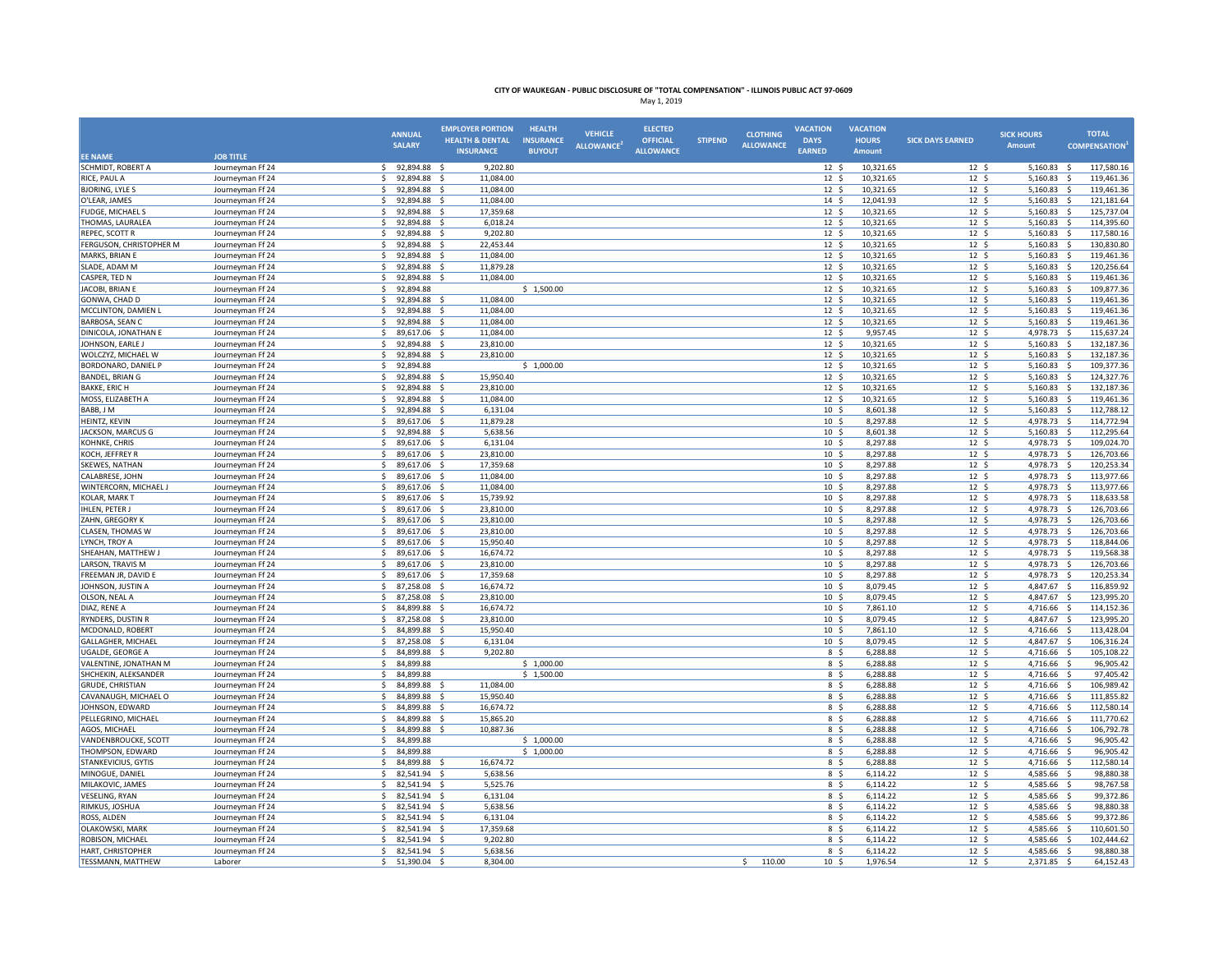|                                               |                                      | <b>ANNUAL</b>                             | <b>EMPLOYER PORTION</b><br><b>HEALTH &amp; DENTAL</b> | <b>HEALTH</b><br><b>INSURANCE</b> | <b>VEHICLE</b>   | <b>ELECTED</b><br><b>OFFICIAL</b> | <b>STIPEND</b> | <b>CLOTHING</b>  | <b>VACATION</b><br><b>DAYS</b>      | <b>VACATION</b><br><b>HOURS</b> | <b>SICK DAYS EARNED</b> | <b>SICK HOURS</b>          | <b>TOTAL</b>                                   |
|-----------------------------------------------|--------------------------------------|-------------------------------------------|-------------------------------------------------------|-----------------------------------|------------------|-----------------------------------|----------------|------------------|-------------------------------------|---------------------------------|-------------------------|----------------------------|------------------------------------------------|
| <b>EE NAME</b>                                | <b>JOB TITLE</b>                     | <b>SALARY</b>                             | <b>INSURANCE</b>                                      | <b>BUYOUT</b>                     | <b>ALLOWANCE</b> | <b>ALLOWANCE</b>                  |                | <b>ALLOWANCE</b> | <b>EARNED</b>                       | Amount                          |                         | <b>Amount</b>              | <b>COMPENSATION</b>                            |
| SCHMIDT, ROBERT A                             | Journeyman Ff 24                     | 92,894.88 \$<br>S.                        | 9,202.80                                              |                                   |                  |                                   |                |                  | $12 \div$                           | 10,321.65                       | 12 <sup>5</sup>         | $5,160.83$ \$              | 117,580.16                                     |
| RICE, PAUL A                                  | Journeyman Ff 24                     | \$<br>92,894.88 \$                        | 11,084.00                                             |                                   |                  |                                   |                |                  | 12 <sup>5</sup>                     | 10,321.65                       | 12 <sup>5</sup>         | 5,160.83 \$                | 119,461.36                                     |
| <b>BJORING, LYLE S</b>                        | Journeyman Ff 24                     | \$<br>92,894.88 \$                        | 11,084.00                                             |                                   |                  |                                   |                |                  | 12S                                 | 10,321.65                       | 12 <sup>5</sup>         | 5,160.83 \$                | 119,461.36                                     |
| O'LEAR, JAMES                                 | Journeyman Ff 24                     | -\$<br>92,894.88                          | 11,084.00                                             |                                   |                  |                                   |                |                  | $14 \; \text{S}$                    | 12,041.93                       | $12 \div$               | 5,160.83                   | 121,181.64<br>\$                               |
| FUDGE, MICHAEL S                              | Journeyman Ff 24                     | -Ś<br>92,894.88                           | 17,359.68<br>- S                                      |                                   |                  |                                   |                |                  | 12 <sup>5</sup>                     | 10,321.65                       | 12 <sup>5</sup>         | 5,160.83                   | -\$<br>125,737.04                              |
| THOMAS, LAURALEA                              | Journeyman Ff 24                     | 92,894.88<br>-Ś                           | 6,018.24<br>- \$                                      |                                   |                  |                                   |                |                  | 12 <sup>5</sup>                     | 10,321.65                       | 12 <sup>5</sup>         | 5,160.83                   | 114,395.60<br>$\ddot{\varsigma}$               |
| REPEC, SCOTT R                                | Journeyman Ff 24                     | -S<br>92,894.88 \$                        | 9,202.80                                              |                                   |                  |                                   |                |                  | 12 <sup>5</sup>                     | 10,321.65                       | 12 <sup>5</sup>         | 5,160.83                   | - \$<br>117,580.16                             |
| FERGUSON, CHRISTOPHER M                       | Journeyman Ff 24                     | \$<br>92,894.88                           | 22,453.44<br>- 5                                      |                                   |                  |                                   |                |                  | 12 <sup>5</sup>                     | 10,321.65                       | $12 \quad$              | 5,160.83                   | -\$<br>130,830.80                              |
| MARKS, BRIAN E                                | Journeyman Ff 24                     | 92,894.88<br>-Ś                           | 11,084.00<br>- 9                                      |                                   |                  |                                   |                |                  | $12 \frac{2}{7}$                    | 10,321.65                       | $12 \div$               | 5,160.83                   | 119,461.36<br>$\mathsf{s}$                     |
| SLADE, ADAM M                                 | Journeyman Ff 24                     | 92,894.88<br>-Ś                           | 11,879.28<br>- Ś                                      |                                   |                  |                                   |                |                  | 12 <sup>5</sup>                     | 10,321.65                       | 12 <sup>5</sup>         | 5,160.83                   | 120,256.64<br>-\$                              |
| CASPER, TED N                                 | Journeyman Ff 24                     | 92,894.88<br>-Ś                           | 11,084.00                                             |                                   |                  |                                   |                |                  | 12 <sup>5</sup>                     | 10,321.65                       | 12 <sup>5</sup>         | 5,160.83                   | 119,461.36<br>-\$                              |
| JACOBI, BRIAN E                               | Journeyman Ff 24                     | 92,894.88<br>-Ś                           |                                                       | \$1,500.00                        |                  |                                   |                |                  | $12 \frac{2}{7}$                    | 10,321.65                       | $12 \quad$              | 5,160.83                   | -\$<br>109,877.36                              |
| GONWA, CHAD D                                 | Journeyman Ff 24                     | \$<br>92,894.88                           | 11,084.00<br>- S                                      |                                   |                  |                                   |                |                  | 12 <sup>5</sup>                     | 10,321.65                       | 12 <sup>5</sup>         | $5,160.83$ \$              | 119,461.36                                     |
| MCCLINTON, DAMIEN L                           | Journeyman Ff 24                     | <sub>S</sub><br>92,894.88                 | 11,084.00                                             |                                   |                  |                                   |                |                  | 12 <sup>5</sup>                     | 10,321.65                       | 12 <sup>5</sup>         | 5,160.83                   | S.<br>119,461.36                               |
| BARBOSA, SEAN C                               | Journeyman Ff 24                     | Ŝ.<br>92.894.88 \$                        | 11.084.00                                             |                                   |                  |                                   |                |                  | 12 <sup>5</sup>                     | 10.321.65                       | 12 <sup>5</sup>         | 5,160.83                   | s.<br>119.461.36                               |
| DINICOLA, JONATHAN E                          | Journeyman Ff 24                     | \$<br>89,617.06 \$                        | 11,084.00                                             |                                   |                  |                                   |                |                  | $12 \frac{2}{7}$                    | 9,957.45                        | $12 \quad$              | 4,978.73 \$                | 115,637.24                                     |
| JOHNSON, EARLE J                              | Journeyman Ff 24                     | \$<br>92,894.88 \$<br><sup>5</sup>        | 23,810.00<br>23.810.00<br>−\$                         |                                   |                  |                                   |                |                  | 12 <sup>5</sup>                     | 10,321.65                       | 12 <sup>5</sup>         | 5,160.83                   | - \$<br>132,187.36<br>$\mathsf{S}$             |
| WOLCZYZ, MICHAEL W                            | Journeyman Ff 24                     | 92,894.88<br>-Ś                           |                                                       |                                   |                  |                                   |                |                  | 12 <sup>5</sup>                     | 10,321.65                       | $12 \div$<br>$12 \div$  | 5,160.83                   | 132,187.36<br>109,377.36<br>$\dot{\mathbf{S}}$ |
| BORDONARO, DANIEL P<br><b>BANDEL, BRIAN G</b> | Journeyman Ff 24                     | 92,894.88<br>-Ś<br>92,894.88              | 15,950.40                                             | \$1,000.00                        |                  |                                   |                |                  | $12 \frac{2}{7}$<br>12 <sup>5</sup> | 10,321.65<br>10,321.65          | 12 <sup>5</sup>         | 5,160.83<br>5,160.83       | $\mathbf{\hat{S}}$<br>124,327.76               |
| <b>BAKKE, ERIC H</b>                          | Journeyman Ff 24<br>Journeyman Ff 24 | 92,894.88<br>\$                           | 23,810.00<br>- 5                                      |                                   |                  |                                   |                |                  | 12 <sup>5</sup>                     | 10,321.65                       | 12 <sup>5</sup>         | $5,160.83$ \$              | 132,187.36                                     |
| MOSS, ELIZABETH A                             | Journeyman Ff 24                     | 92,894.88<br>-S                           | 11,084.00                                             |                                   |                  |                                   |                |                  | 12 <sup>5</sup>                     | 10,321.65                       | 12 <sup>5</sup>         | 5,160.83 \$                | 119,461.36                                     |
| BABB, J M                                     | Journeyman Ff 24                     | <sup>5</sup><br>92,894.88                 | $\prec$<br>6,131.04                                   |                                   |                  |                                   |                |                  | 10 <sup>5</sup>                     | 8,601.38                        | $12 \div$               | 5,160.83                   | 112,788.12<br>-\$                              |
| HEINTZ, KEVIN                                 | Journeyman Ff 24                     | -Ś<br>89,617.06                           | 11,879.28                                             |                                   |                  |                                   |                |                  | 10 <sup>5</sup>                     | 8,297.88                        | 12 <sup>5</sup>         | 4,978.73                   | - \$<br>114,772.94                             |
| JACKSON, MARCUS G                             | Journeyman Ff 24                     | \$<br>92,894.88                           | - S<br>5,638.56                                       |                                   |                  |                                   |                |                  | 10 <sup>5</sup>                     | 8,601.38                        | 12 <sup>5</sup>         | 5,160.83                   | - \$<br>112,295.64                             |
| KOHNKE, CHRIS                                 | Journeyman Ff 24                     | -S<br>89,617.06 \$                        | 6,131.04                                              |                                   |                  |                                   |                |                  | 10 <sup>5</sup>                     | 8,297.88                        | 12 <sup>5</sup>         | 4,978.73 \$                | 109,024.70                                     |
| KOCH, JEFFREY R                               | Journeyman Ff 24                     | \$<br>89,617.06 \$                        | 23,810.00                                             |                                   |                  |                                   |                |                  | 10 <sup>5</sup>                     | 8,297.88                        | $12 \quad$              | 4,978.73                   | 126,703.66<br>- S                              |
| SKEWES, NATHAN                                | Journeyman Ff 24                     | $\mathsf{s}$<br>89,617.06                 | 17,359.68<br>- \$                                     |                                   |                  |                                   |                |                  | 10 <sup>5</sup>                     | 8,297.88                        | $12 \div$               | 4,978.73                   | 120,253.34<br>- \$                             |
| CALABRESE, JOHN                               | Journeyman Ff 24                     | -Ś<br>89,617.06                           | 11,084.00                                             |                                   |                  |                                   |                |                  | 10 <sup>5</sup>                     | 8,297.88                        | 12 <sup>5</sup>         | 4,978.73                   | 113,977.66<br>$\dot{\mathbf{S}}$               |
| WINTERCORN, MICHAEL J                         | Journeyman Ff 24                     | $\mathsf{s}$<br>89.617.06                 | 11.084.00<br>- \$                                     |                                   |                  |                                   |                |                  | 10 <sub>5</sub>                     | 8.297.88                        | 12 <sup>5</sup>         | 4.978.73                   | s.<br>113.977.66                               |
| KOLAR, MARK T                                 | Journeyman Ff 24                     | 89,617.06 \$<br>\$                        | 15,739.92                                             |                                   |                  |                                   |                |                  | $10 \; \text{S}$                    | 8,297.88                        | $12 \div$               | 4,978.73 \$                | 118,633.58                                     |
| <b>IHLEN, PETER J</b>                         | Journeyman Ff 24                     | 89,617.06 \$<br>\$                        | 23,810.00                                             |                                   |                  |                                   |                |                  | 10 <sup>5</sup>                     | 8,297.88                        | 12 <sup>5</sup>         | 4,978.73 \$                | 126,703.66                                     |
| ZAHN, GREGORY K                               | Journeyman Ff 24                     | <sup>5</sup><br>89,617.06                 | 23,810.00                                             |                                   |                  |                                   |                |                  | 10 <sup>5</sup>                     | 8,297.88                        | $12 \quad$              | 4,978.73                   | 126,703.66<br>S.                               |
| CLASEN, THOMAS W                              | Journeyman Ff 24                     | \$<br>89,617.06                           | 23,810.00<br>- \$                                     |                                   |                  |                                   |                |                  | 10 <sup>5</sup>                     | 8,297.88                        | 12 <sup>5</sup>         | 4,978.73                   | - \$<br>126,703.66                             |
| LYNCH, TROY A                                 | Journeyman Ff 24                     | \$<br>89,617.06                           | - \$<br>15,950.40                                     |                                   |                  |                                   |                |                  | 10 <sup>5</sup>                     | 8,297.88                        | 12 <sup>5</sup>         | 4,978.73 \$                | 118,844.06                                     |
| SHEAHAN, MATTHEW J                            | Journeyman Ff 24                     | 89,617.06<br>\$                           | 16,674.72<br>- S                                      |                                   |                  |                                   |                |                  | $10 \; \text{S}$                    | 8,297.88                        | $12 \quad$              | 4,978.73                   | 119,568.38<br>- \$                             |
| LARSON, TRAVIS M                              | Journeyman Ff 24                     | $\mathsf{S}$<br>89,617.06                 | 23,810.00<br>- \$                                     |                                   |                  |                                   |                |                  | 10 <sup>5</sup>                     | 8,297.88                        | 12 <sup>5</sup>         | 4,978.73                   | 126,703.66<br>- \$                             |
| FREEMAN JR, DAVID E                           | Journeyman Ff 24                     | $\leq$<br>89,617.06                       | 17,359.68                                             |                                   |                  |                                   |                |                  | 10 <sub>5</sub>                     | 8,297.88                        | $12 \div$               | 4,978.73                   | 120,253.34<br>-Ś                               |
| JOHNSON, JUSTIN A                             | Journeyman Ff 24                     | -Ś<br>87,258.08                           | 16,674.72                                             |                                   |                  |                                   |                |                  | 10 <sup>5</sup>                     | 8,079.45                        | 12 <sup>5</sup>         | 4,847.67                   | -\$<br>116,859.92                              |
| OLSON, NEAL A                                 | Journeyman Ff 24                     | 87,258.08<br>-Ś                           | 23,810.00<br>-Ś                                       |                                   |                  |                                   |                |                  | 10 <sup>5</sup>                     | 8,079.45                        | 12 <sup>5</sup>         | 4,847.67                   | S.<br>123,995.20                               |
| DIAZ, RENE A                                  | Journeyman Ff 24                     | 84,899.88<br>-S<br>-S                     | 16,674.72<br>- \$                                     |                                   |                  |                                   |                |                  | 10 <sup>5</sup>                     | 7,861.10                        | 12 <sup>5</sup>         | 4,716.66 \$                | 114,152.36                                     |
| RYNDERS, DUSTIN R<br>MCDONALD, ROBERT         | Journeyman Ff 24                     | 87,258.08 \$<br><sub>S</sub><br>84,899.88 | 23,810.00<br>15,950.40<br>- S                         |                                   |                  |                                   |                |                  | 10 <sup>5</sup><br>10 <sup>5</sup>  | 8,079.45<br>7,861.10            | $12 \quad$<br>$12 \div$ | 4,847.67 \$<br>4,716.66 \$ | 123,995.20<br>113,428.04                       |
| GALLAGHER, MICHAEL                            | Journeyman Ff 24<br>Journeyman Ff 24 | -Ś<br>87,258.08                           | 6,131.04                                              |                                   |                  |                                   |                |                  | 10 <sup>5</sup>                     | 8,079.45                        | 12 <sup>5</sup>         | 4,847.67                   | - \$<br>106,316.24                             |
| <b>UGALDE, GEORGE A</b>                       | Journeyman Ff 24                     | \$<br>84.899.88                           | 9,202.80<br>- S                                       |                                   |                  |                                   |                |                  | 8 <sup>5</sup>                      | 6.288.88                        | 12 <sup>5</sup>         | 4,716.66                   | $\mathsf{S}$<br>105,108.22                     |
| VALENTINE, JONATHAN M                         | Journeyman Ff 24                     | 84,899.88<br>\$                           |                                                       | \$1,000.00                        |                  |                                   |                |                  | 8\$                                 | 6,288.88                        | $12 \quad$              | 4,716.66                   | 96,905.42<br>- S                               |
| SHCHEKIN, ALEKSANDER                          | Journeyman Ff 24                     | \$<br>84,899.88                           |                                                       | \$1,500.00                        |                  |                                   |                |                  | 8 \$                                | 6,288.88                        | 12 <sup>5</sup>         | 4,716.66                   | 97,405.42<br>$\dot{\mathbf{S}}$                |
| GRUDE, CHRISTIAN                              | Journeyman Ff 24                     | 84,899.88                                 | 11,084.00                                             |                                   |                  |                                   |                |                  | 8 <sup>5</sup>                      | 6,288.88                        | $12 \text{ }$           | 4,716.66                   | 106,989.42<br>$\mathsf{s}$                     |
| CAVANAUGH, MICHAEL O                          | Journeyman Ff 24                     | 84.899.88                                 | 15,950.40                                             |                                   |                  |                                   |                |                  | 8 \$                                | 6,288.88                        | 12 <sup>5</sup>         | 4,716.66                   | -Ś<br>111.855.82                               |
| JOHNSON, EDWARD                               | Journeyman Ff 24                     | 84,899.88<br>-\$                          | 16,674.72                                             |                                   |                  |                                   |                |                  | 8\$                                 | 6,288.88                        | $12 \text{ }$           | 4,716.66                   | 112,580.14<br>-\$                              |
| PELLEGRINO, MICHAEL                           | Journeyman Ff 24                     | 84,899.88 \$<br>\$                        | 15,865.20                                             |                                   |                  |                                   |                |                  | 8\$                                 | 6,288.88                        | $12 \quad$              | 4,716.66                   | 111,770.62<br>- \$                             |
| AGOS, MICHAEL                                 | Journeyman Ff 24                     | 84,899.88<br>\$                           | 10,887.36<br>- \$                                     |                                   |                  |                                   |                |                  | 8 \$                                | 6,288.88                        | 12 <sup>5</sup>         | 4,716.66 \$                | 106,792.78                                     |
| VANDENBROUCKE, SCOTT                          | Journeyman Ff 24                     | <sub>S</sub><br>84,899.88                 |                                                       | \$1,000.00                        |                  |                                   |                |                  | 8\$                                 | 6,288.88                        | 12 <sup>5</sup>         | 4,716.66                   | 96,905.42<br>- \$                              |
| THOMPSON, EDWARD                              | Journeyman Ff 24                     | -Ś<br>84,899.88                           |                                                       | \$1,000.00                        |                  |                                   |                |                  | 8\$                                 | 6,288.88                        | $12 \quad$              | 4,716.66                   | 96,905.42<br>- \$                              |
| STANKEVICIUS, GYTIS                           | Journeyman Ff 24                     | -Ś<br>84,899.88                           | 16,674.72                                             |                                   |                  |                                   |                |                  | 8 <sup>5</sup>                      | 6,288.88                        | 12 <sup>5</sup>         | 4,716.66                   | 112,580.14<br>- \$                             |
| MINOGUE, DANIEL                               | Journeyman Ff 24                     | \$<br>82,541.94                           | 5,638.56                                              |                                   |                  |                                   |                |                  | 8 \$                                | 6,114.22                        | 12 <sup>5</sup>         | 4,585.66 \$                | 98,880.38                                      |
| MILAKOVIC, JAMES                              | Journeyman Ff 24                     | Ŝ.<br>82.541.94                           | 5.525.76<br>- \$                                      |                                   |                  |                                   |                |                  | 8 \$                                | 6.114.22                        | $12 \quad$              | 4,585.66                   | s.<br>98,767.58                                |
| VESELING, RYAN                                | Journeyman Ff 24                     | -Ś<br>82,541.94                           | 6,131.04                                              |                                   |                  |                                   |                |                  | 8 <sup>5</sup>                      | 6,114.22                        | $12 \text{ }$           | 4,585.66                   | 99,372.86                                      |
| RIMKUS, JOSHUA                                | Journeyman Ff 24                     | -Ś<br>82,541.94                           | 5,638.56<br>- S                                       |                                   |                  |                                   |                |                  | 8 \$                                | 6,114.22                        | 12 <sup>5</sup>         | 4,585.66                   | 98,880.38                                      |
| ROSS, ALDEN                                   | Journeyman Ff 24                     | 82.541.94<br>\$                           | 6.131.04<br>- \$                                      |                                   |                  |                                   |                |                  | 8 <sup>5</sup>                      | 6,114.22                        | 12 <sup>5</sup>         | 4.585.66                   | s.<br>99.372.86                                |
| OLAKOWSKI, MARK                               | Journeyman Ff 24                     | 82,541.94 \$<br>\$                        | 17,359.68                                             |                                   |                  |                                   |                |                  | 8\$                                 | 6,114.22                        | $12 \quad$              | 4,585.66                   | 110,601.50<br>- S                              |
| ROBISON, MICHAEL                              | Journeyman Ff 24                     | 82,541.94 \$<br>\$                        | 9,202.80                                              |                                   |                  |                                   |                |                  | 8 \$                                | 6,114.22                        | $12 \quad$              | 4,585.66                   | 102,444.62<br>- \$                             |
| HART, CHRISTOPHER                             | Journeyman Ff 24                     | \$<br>82,541.94                           | $\mathsf{S}$<br>5,638.56                              |                                   |                  |                                   |                |                  | 8 <sup>5</sup>                      | 6,114.22                        | 12 <sup>5</sup>         | 4,585.66                   | 98,880.38<br>-\$                               |
| <b>TESSMANN, MATTHEW</b>                      | Laborer                              | 51,390.04 \$                              | 8,304.00                                              |                                   |                  |                                   |                | \$<br>110.00     | 10 <sup>5</sup>                     | 1,976.54                        | $12 \div$               | 2,371.85                   | 64,152.43<br>-\$                               |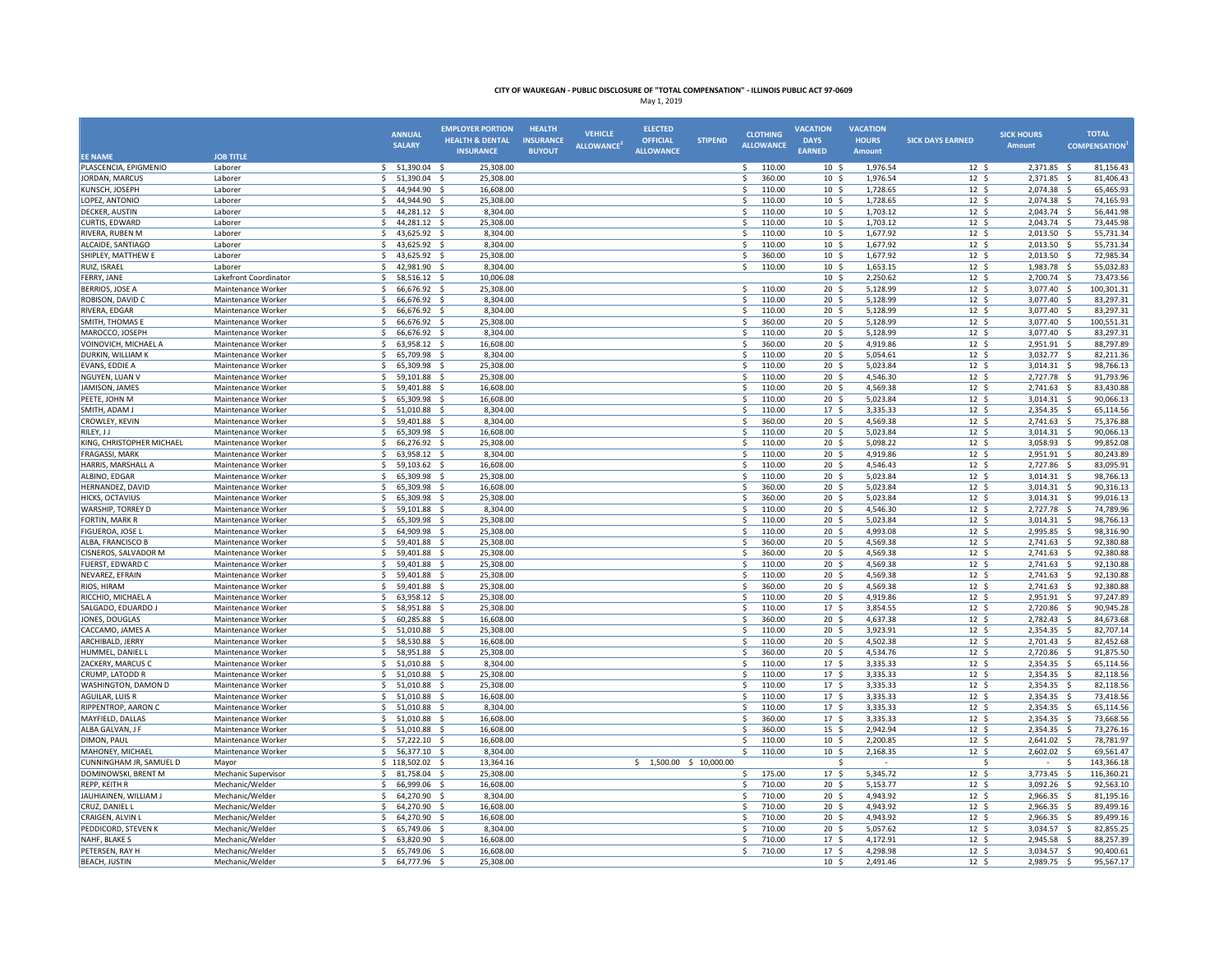|                                         |                                          | <b>ANNUAL</b><br><b>SALARY</b>                | <b>EMPLOYER PORTION</b><br><b>HEALTH &amp; DENTAL</b> | <b>HEALTH</b><br><b>INSURANCE</b> | <b>VEHICLE</b><br><b>ALLOWANCE</b> | <b>ELECTED</b><br><b>OFFICIAL</b> | <b>STIPEND</b> | <b>CLOTHING</b><br><b>ALLOWANCE</b> | <b>VACATION</b><br><b>DAYS</b>      | <b>VACATION</b><br><b>HOURS</b> | <b>SICK DAYS EARNED</b>             | <b>SICK HOURS</b><br><b>Amount</b> | <b>TOTAL</b><br><b>COMPENSATION</b>   |
|-----------------------------------------|------------------------------------------|-----------------------------------------------|-------------------------------------------------------|-----------------------------------|------------------------------------|-----------------------------------|----------------|-------------------------------------|-------------------------------------|---------------------------------|-------------------------------------|------------------------------------|---------------------------------------|
| <b>EE NAME</b>                          | <b>JOB TITLE</b>                         |                                               | <b>INSURANCE</b>                                      | <b>BUYOUT</b>                     |                                    | <b>ALLOWANCE</b>                  |                |                                     | <b>EARNED</b>                       | Amount                          |                                     |                                    |                                       |
| PLASCENCIA, EPIGMENIO                   | Laborer                                  | \$<br>51,390.04 \$                            | 25,308.00                                             |                                   |                                    |                                   |                | \$<br>110.00                        | 10 <sup>5</sup>                     | 1,976.54                        | 12 <sup>5</sup>                     | 2,371.85 \$                        | 81,156.43                             |
| JORDAN, MARCUS                          | Laborer                                  | 51,390.04 \$<br>\$                            | 25,308.00                                             |                                   |                                    |                                   |                | 360.00<br>\$.                       | $10 \frac{2}{3}$                    | 1,976.54                        | $12 \frac{2}{7}$                    | 2,371.85                           | 81,406.43<br>- \$                     |
| KUNSCH, JOSEPH                          | Laborer                                  | 44,944.90 \$<br>$\mathsf{S}$                  | 16,608.00                                             |                                   |                                    |                                   |                | $\mathsf{S}$<br>110.00              | 10 <sup>5</sup>                     | 1,728.65                        | 12 <sup>5</sup>                     | 2,074.38 \$                        | 65,465.93                             |
| LOPEZ, ANTONIO                          | Laborer                                  | $\hat{\zeta}$<br>44,944.90                    | $\prec$<br>25,308.00                                  |                                   |                                    |                                   |                | Ś.<br>110.00                        | 10 <sup>5</sup>                     | 1,728.65                        | $12 \quad$                          | 2,074.38                           | 74,165.93<br>s.                       |
| <b>DECKER, AUSTIN</b>                   | Laborer                                  | -Ś<br>44,281.12                               | 8,304.00<br>-Ś                                        |                                   |                                    |                                   |                | 110.00<br>Ś.                        | $10 \frac{2}{3}$                    | 1,703.12                        | 12 <sup>5</sup>                     | 2,043.74                           | 56,441.98<br>- S                      |
| CURTIS, EDWARD                          | Laborer                                  | 44,281.12<br>\$.                              | 25,308.00<br>$\mathbf{\hat{S}}$                       |                                   |                                    |                                   |                | 110.00<br>\$.                       | 10 <sup>5</sup>                     | 1,703.12                        | 12 <sup>5</sup>                     | 2,043.74                           | 73,445.98<br>-\$                      |
| RIVERA, RUBEN M                         | Laborer                                  | 43,625.92 \$<br>-Ś                            | 8,304.00                                              |                                   |                                    |                                   |                | 110.00<br>\$.                       | 10 <sup>5</sup>                     | 1,677.92                        | 12 <sup>5</sup>                     | 2,013.50                           | 55,731.34<br>- \$                     |
| ALCAIDE, SANTIAGO                       | Laborer                                  | 43,625.92 \$<br>-S<br>-Ś                      | 8,304.00                                              |                                   |                                    |                                   |                | 110.00<br>Ŝ                         | 10 <sup>5</sup>                     | 1,677.92                        | 12 <sup>5</sup>                     | 2,013.50                           | 55,731.34<br>- S<br>-Ś                |
| SHIPLEY, MATTHEW E<br>RUIZ, ISRAEL      | Laborer<br>Laborer                       | 43,625.92<br>42,981.90<br>.s                  | 25,308.00<br>- \$<br>8,304.00<br>- S                  |                                   |                                    |                                   |                | 360.00<br>\$<br>110.00<br>Ŝ         | $10 \frac{2}{3}$<br>10 <sup>5</sup> | 1,677.92<br>1,653.15            | $12 \quad$ \$<br>12 <sup>5</sup>    | 2,013.50<br>1,983.78               | 72,985.34<br>55,032.83<br>-Ś          |
| FERRY, JANE                             | Lakefront Coordinator                    | 58,516.12 \$<br>-Ś                            | 10.006.08                                             |                                   |                                    |                                   |                |                                     | 10 <sub>5</sub>                     | 2.250.62                        | $12 \quad$                          | 2.700.74                           | 73.473.56<br>- \$                     |
| <b>BERRIOS, JOSE A</b>                  | Maintenance Worker                       | S.<br>66,676.92 \$                            | 25,308.00                                             |                                   |                                    |                                   |                | 110.00<br>Ŝ                         | 20 <sup>5</sup>                     | 5,128.99                        | 12 <sup>5</sup>                     | 3,077.40                           | 100,301.31<br>- \$                    |
| ROBISON, DAVID C                        | Maintenance Worker                       | \$.<br>66,676.92 \$                           | 8,304.00                                              |                                   |                                    |                                   |                | Ŝ.<br>110.00                        | 20 <sup>5</sup>                     | 5,128.99                        | 12 <sup>5</sup>                     | 3,077.40 \$                        | 83,297.31                             |
| RIVERA, EDGAR                           | Maintenance Worker                       | -Ś<br>66,676.92                               | 8,304.00                                              |                                   |                                    |                                   |                | \$<br>110.00                        | $20 \frac{2}{3}$                    | 5,128.99                        | $12 \quad$                          | 3,077.40                           | 83,297.31<br>-\$                      |
| SMITH, THOMAS E                         | Maintenance Worker                       | $\mathcal{S}$<br>66,676.92                    | 25,308.00<br>-S                                       |                                   |                                    |                                   |                | 360.00<br>Ŝ.                        | 20 <sub>5</sub>                     | 5,128.99                        | 12 <sup>5</sup>                     | 3,077.40                           | 100,551.31<br>- \$                    |
| MAROCCO, JOSEPH                         | Maintenance Worker                       | 66,676.92<br>S.                               | 8.304.00<br>- S                                       |                                   |                                    |                                   |                | 110.00<br>S.                        | 20 <sub>5</sub>                     | 5,128.99                        | 12 <sup>5</sup>                     | 3,077.40                           | 83.297.31<br>- S                      |
| VOINOVICH, MICHAEL A                    | Maintenance Worker                       | \$<br>63,958.12 \$                            | 16,608.00                                             |                                   |                                    |                                   |                | 360.00<br>\$                        | $20 \frac{2}{3}$                    | 4,919.86                        | $12 \frac{1}{2}$                    | 2,951.91                           | 88,797.89<br>-\$                      |
| <b>DURKIN, WILLIAM K</b>                | Maintenance Worker                       | \$.<br>65,709.98                              | - Ś<br>8,304.00                                       |                                   |                                    |                                   |                | Ŝ.<br>110.00                        | 20 <sup>5</sup>                     | 5,054.61                        | 12 <sup>5</sup>                     | 3,032.77                           | 82,211.36<br>-\$                      |
| EVANS, EDDIE A                          | Maintenance Worker                       | <sub>S</sub><br>65,309.98                     | 25,308.00<br>- Ś                                      |                                   |                                    |                                   |                | Ś<br>110.00                         | 20 <sub>5</sub>                     | 5,023.84                        | $12 \quad$                          | 3,014.31                           | 98,766.13<br>$\ddot{\mathsf{s}}$      |
| NGUYEN, LUAN V                          | Maintenance Worker                       | .S<br>59,101.88                               | 25,308.00                                             |                                   |                                    |                                   |                | 110.00<br>\$.                       | 20 <sup>5</sup>                     | 4,546.30                        | 12 <sup>5</sup>                     | 2,727.78                           | 91,793.96<br>- S                      |
| JAMISON, JAMES                          | Maintenance Worker                       | 59,401.88<br>\$                               | $\leq$<br>16,608.00                                   |                                   |                                    |                                   |                | 110.00<br>S.                        | 20 <sup>5</sup>                     | 4,569.38                        | $12 \frac{2}{7}$                    | 2,741.63                           | 83,430.88<br>-\$                      |
| PEETE, JOHN M                           | Maintenance Worker                       | \$.<br>65,309.98                              | 16,608.00<br>- Ś                                      |                                   |                                    |                                   |                | 110.00<br>Ŝ.                        | 20 <sub>5</sub>                     | 5,023.84                        | 12 <sup>5</sup>                     | 3,014.31                           | 90,066.13<br>- S                      |
| SMITH, ADAM J                           | Maintenance Worker                       | \$<br>51,010.88                               | 8,304.00<br>- \$                                      |                                   |                                    |                                   |                | s.<br>110.00                        | 17 <sub>5</sub>                     | 3,335.33                        | $12 \quad$                          | 2,354.35 \$                        | 65,114.56                             |
| <b>CROWLEY, KEVIN</b>                   | Maintenance Worker                       | -Ś<br>59,401.88<br>$\mathsf{\hat{S}}$         | 8,304.00<br>$\epsilon$                                |                                   |                                    |                                   |                | 360.00<br>Ś                         | 20 <sub>5</sub>                     | 4,569.38                        | 12 <sup>5</sup>                     | 2,741.63                           | 75,376.88<br>- \$                     |
| RILEY, JJ<br>KING, CHRISTOPHER MICHAEL  | Maintenance Worker<br>Maintenance Worker | 65,309.98<br>\$.                              | 16,608.00<br>- \$<br>25,308.00                        |                                   |                                    |                                   |                | 110.00<br>\$<br>110.00<br>\$.       | $20 \frac{2}{3}$<br>20 <sub>5</sub> | 5,023.84<br>5,098.22            | $12 \frac{2}{7}$<br>12 <sup>5</sup> | 3,014.31                           | 90,066.13<br>- S<br>99,852.08<br>- \$ |
| <b>FRAGASSI, MARK</b>                   | Maintenance Worker                       | 66,276.92 \$<br>\$.<br>63,958.12 \$           | 8,304.00                                              |                                   |                                    |                                   |                | \$.<br>110.00                       | 20 <sup>5</sup>                     | 4,919.86                        | 12 <sup>5</sup>                     | 3,058.93<br>2,951.91               | 80,243.89<br>- \$                     |
| <b>HARRIS, MARSHALL A</b>               | Maintenance Worker                       | Ŝ.<br>59,103.62                               | 16,608.00<br>- \$                                     |                                   |                                    |                                   |                | <sup>\$</sup><br>110.00             | 20 <sub>5</sub>                     | 4.546.43                        | 12 <sup>5</sup>                     | 2,727.86                           | s.<br>83,095.91                       |
| ALBINO, EDGAR                           | Maintenance Worker                       | 65,309.98<br>-\$                              | 25,308.00                                             |                                   |                                    |                                   |                | 110.00<br>\$                        | $20 \frac{2}{3}$                    | 5,023.84                        | $12 \text{ }$                       | 3,014.31                           | 98,766.13<br>-\$                      |
| HERNANDEZ, DAVID                        | Maintenance Worker                       | $\mathsf{\hat{S}}$<br>65,309.98               | $\dot{\mathbf{S}}$<br>16,608.00                       |                                   |                                    |                                   |                | Ś<br>360.00                         | 20 <sup>5</sup>                     | 5,023.84                        | 12 <sup>5</sup>                     | 3,014.31                           | -\$<br>90,316.13                      |
| <b>HICKS, OCTAVIUS</b>                  | Maintenance Worker                       | 65,309.98 \$<br>\$                            | 25,308.00                                             |                                   |                                    |                                   |                | 360.00<br>\$.                       | 20 <sup>5</sup>                     | 5,023.84                        | $12 \quad$                          | 3,014.31 \$                        | 99,016.13                             |
| <b>WARSHIP, TORREY D</b>                | Maintenance Worker                       | 59,101.88<br>-S                               | 8.304.00                                              |                                   |                                    |                                   |                | 110.00<br>S.                        | 20 <sub>5</sub>                     | 4,546.30                        | 12 <sup>5</sup>                     | 2,727.78                           | 74,789.96<br>- S                      |
| FORTIN, MARK R                          | Maintenance Worker                       | $\hat{\zeta}$<br>65,309.98                    | 25,308.00<br>$\prec$                                  |                                   |                                    |                                   |                | 110.00<br>Ŝ.                        | $20 \frac{2}{3}$                    | 5,023.84                        | $12 \text{ }$                       | 3,014.31                           | 98,766.13<br>-\$                      |
| FIGUEROA, JOSE I                        | Maintenance Worker                       | $\mathsf{S}$<br>64,909.98                     | 25,308.00<br>- \$                                     |                                   |                                    |                                   |                | \$<br>110.00                        | $20 \frac{2}{3}$                    | 4,993.08                        | $12 \quad$                          | 2,995.85                           | 98,316.90<br>-\$                      |
| ALBA, FRANCISCO B                       | Maintenance Worker                       | -Ś<br>59,401.88                               | - \$<br>25,308.00                                     |                                   |                                    |                                   |                | 360.00<br>\$                        | 20 <sub>5</sub>                     | 4,569.38                        | 12 <sup>5</sup>                     | 2,741.63 \$                        | 92,380.88                             |
| <b>CISNEROS, SALVADOR M</b>             | Maintenance Worker                       | 59,401.88 \$<br>S.                            | 25,308.00                                             |                                   |                                    |                                   |                | 360.00<br>Ŝ                         | 20 <sub>5</sub>                     | 4,569.38                        | 12 <sup>5</sup>                     | 2,741.63                           | 92,380.88<br>- \$                     |
| FUERST, EDWARD C                        | Maintenance Worker                       | 59,401.88 \$<br>-Ś                            | 25,308.00                                             |                                   |                                    |                                   |                | 110.00<br>Ŝ                         | $20 \frac{2}{3}$                    | 4,569.38                        | 12 <sup>5</sup>                     | 2,741.63                           | 92,130.88<br>- \$                     |
| NEVAREZ, EFRAIN                         | Maintenance Worker                       | 59,401.88<br><sup>\$</sup>                    | 25,308.00<br>- \$                                     |                                   |                                    |                                   |                | 110.00<br>Ś                         | 20 <sup>5</sup>                     | 4,569.38                        | $12 \quad$                          | 2,741.63                           | 92,130.88<br>-Ś                       |
| RIOS, HIRAM                             | Maintenance Worker                       | Ŝ.<br>59,401.88                               | 25,308.00                                             |                                   |                                    |                                   |                | 360.00                              | 20 <sub>5</sub>                     | 4,569.38                        | 12 <sup>5</sup>                     | 2,741.63                           | 92,380.88                             |
| RICCHIO, MICHAEL A                      | Maintenance Worker                       | Ŝ.<br>63.958.12 \$                            | 25.308.00                                             |                                   |                                    |                                   |                | Ŝ.<br>110.00                        | 20 <sub>5</sub>                     | 4.919.86                        | 12 <sup>5</sup>                     | 2.951.91                           | - Ś<br>97.247.89                      |
| SALGADO, EDUARDO J<br>JONES, DOUGLAS    | Maintenance Worker                       | 58,951.88 \$<br>\$<br>\$.<br>60,285.88 \$     | 25,308.00<br>16,608.00                                |                                   |                                    |                                   |                | 110.00<br>S.<br>\$.<br>360.00       | 17 <sup>5</sup><br>20 <sup>5</sup>  | 3,854.55                        | $12 \frac{2}{7}$<br>12 <sup>5</sup> | 2,720.86                           | 90,945.28<br>-\$                      |
| CACCAMO, JAMES A                        | Maintenance Worker<br>Maintenance Worker | $\mathsf{S}$<br>51,010.88                     | 25,308.00<br>- \$                                     |                                   |                                    |                                   |                | Ś<br>110.00                         | 20 <sub>5</sub>                     | 4,637.38<br>3,923.91            | $12 \quad$                          | 2,782.43 \$<br>2,354.35 \$         | 84,673.68<br>82,707.14                |
| ARCHIBALD, JERRY                        | Maintenance Worker                       | \$.<br>58,530.88                              | 16,608.00<br>- Ś                                      |                                   |                                    |                                   |                | Ŝ<br>110.00                         | 20 <sup>5</sup>                     | 4,502.38                        | 12 <sup>5</sup>                     | 2,701.43                           | 82,452.68<br>- \$                     |
| HUMMEL, DANIEL L                        | Maintenance Worker                       | \$.<br>58,951.88                              | -\$<br>25,308.00                                      |                                   |                                    |                                   |                | \$<br>360.00                        | 20 <sup>5</sup>                     | 4,534.76                        | 12 <sup>5</sup>                     | 2,720.86                           | - \$<br>91,875.50                     |
| ZACKERY, MARCUS C                       | Maintenance Worker                       | 51,010.88 \$<br>\$                            | 8,304.00                                              |                                   |                                    |                                   |                | 110.00<br>\$                        | 17 <sup>5</sup>                     | 3,335.33                        | $12 \frac{2}{7}$                    | 2,354.35 \$                        | 65,114.56                             |
| CRUMP, LATODD R                         | Maintenance Worker                       | $\mathsf{S}$<br>51,010.88                     | 25,308.00                                             |                                   |                                    |                                   |                | 110.00<br>$\mathsf{s}$              | 17 <sup>5</sup>                     | 3,335.33                        | 12 <sup>5</sup>                     | 2,354.35                           | 82,118.56<br>- \$                     |
| WASHINGTON, DAMON D                     | Maintenance Worker                       | $\mathsf{\hat{S}}$<br>51,010.88               | 25,308.00                                             |                                   |                                    |                                   |                | <sup>\$</sup><br>110.00             | 17 <sup>5</sup>                     | 3,335.33                        | 12 <sup>5</sup>                     | 2,354.35                           | 82,118.56<br>$\dot{\mathbf{s}}$       |
| AGUILAR, LUIS R                         | Maintenance Worker                       | Ŝ.<br>51,010.88                               | 16,608.00                                             |                                   |                                    |                                   |                | 110.00<br>Ś                         | 17 <sup>5</sup>                     | 3,335.33                        | $12 \frac{2}{7}$                    | 2,354.35                           | 73,418.56<br>-Ś                       |
| RIPPENTROP, AARON C                     | Maintenance Worker                       | 51,010.88<br>\$                               | 8,304.00<br>-Ś                                        |                                   |                                    |                                   |                | 110.00<br>\$                        | 17 <sup>5</sup>                     | 3,335.33                        | $12 \quad$                          | 2,354.35                           | 65,114.56<br>-\$                      |
| MAYFIELD, DALLAS                        | Maintenance Worker                       | 51,010.88<br>\$                               | 16,608.00<br>- \$                                     |                                   |                                    |                                   |                | 360.00<br>\$.                       | 17 <sup>5</sup>                     | 3,335.33                        | 12 <sup>5</sup>                     | 2,354.35                           | 73,668.56<br>-\$                      |
| ALBA GALVAN, J F                        | Maintenance Worker                       | 51,010.88 \$<br>S.                            | 16,608.00                                             |                                   |                                    |                                   |                | 360.00<br>\$                        | 15 <sup>5</sup>                     | 2,942.94                        | 12 <sup>5</sup>                     | 2,354.35 \$                        | 73,276.16                             |
| DIMON, PAUL                             | Maintenance Worker                       | S,<br>57,222.10                               | 16,608.00<br>- \$                                     |                                   |                                    |                                   |                | \$<br>110.00                        | $10 \frac{2}{3}$                    | 2,200.85                        | $12 \frac{2}{7}$                    | 2,641.02                           | 78,781.97<br>- \$                     |
| MAHONEY, MICHAEL                        | Maintenance Worker                       | \$.<br>56,377.10                              | 8,304.00<br>- S                                       |                                   |                                    |                                   |                | 110.00<br>Ŝ.                        | $10 \frac{2}{3}$                    | 2,168.35                        | $12 \frac{2}{7}$                    | 2,602.02                           | -\$<br>69,561.47                      |
| CUNNINGHAM JR, SAMUEL D                 | Mayor                                    | \$118,502.02                                  | 13,364.16<br>- \$                                     |                                   |                                    | $$1,500.00$$ \$ 10,000.00         |                |                                     | Ś                                   |                                 | Ś                                   | $\sim$                             | 143,366.18<br>\$                      |
| DOMINOWSKI, BRENT M                     | Mechanic Supervisor                      | S.<br>81,758.04 \$                            | 25,308.00                                             |                                   |                                    |                                   |                | 175.00<br>S.                        | 17 <sup>5</sup>                     | 5,345.72                        | 12 <sup>5</sup>                     | $3,773.45$ \$                      | 116,360.21                            |
| <b>REPP, KEITH R</b>                    | Mechanic/Welder                          | \$.<br>66,999.06                              | 16,608.00<br>- \$                                     |                                   |                                    |                                   |                | Ŝ.<br>710.00                        | 20 <sup>5</sup>                     | 5,153.77                        | 12 <sup>5</sup>                     | 3,092.26                           | -\$<br>92,563.10                      |
| JAUHIAINEN, WILLIAM J<br>CRUZ, DANIEL L | Mechanic/Welder<br>Mechanic/Welder       | <sup>\$</sup><br>64,270.90<br>Ŝ.<br>64,270.90 | 8,304.00<br>16,608.00<br>-Ś                           |                                   |                                    |                                   |                | 710.00<br>Ś<br>710.00<br>Ś          | $20 \frac{2}{3}$<br>20 <sub>5</sub> | 4,943.92<br>4,943.92            | $12 \text{ }$<br>12 <sup>5</sup>    | 2,966.35<br>2,966.35               | 81,195.16<br>-Ś<br>89,499.16<br>-Ś    |
| <b>CRAIGEN, ALVIN I</b>                 | Mechanic/Welder                          | 64.270.90<br>S.                               | 16.608.00<br>- \$                                     |                                   |                                    |                                   |                | 710.00<br>.s                        | 20 <sub>5</sub>                     | 4.943.92                        | $12 \quad$                          | 2,966.35                           | s.<br>89.499.16                       |
| PEDDICORD, STEVEN K                     | Mechanic/Welder                          | \$<br>65,749.06                               | 8,304.00<br>- \$                                      |                                   |                                    |                                   |                | 710.00<br>\$.                       | $20 \frac{2}{3}$                    | 5,057.62                        | $12 \frac{1}{2}$                    | 3,034.57                           | 82,855.25<br>- S                      |
| NAHF, BLAKE S                           | Mechanic/Welder                          | \$.<br>63,820.90                              | - \$<br>16,608.00                                     |                                   |                                    |                                   |                | Ś<br>710.00                         | 17 <sup>5</sup>                     | 4,172.91                        | 12 <sup>5</sup>                     | 2,945.58                           | 88,257.39<br>-\$                      |
| PETERSEN, RAY H                         | Mechanic/Welder                          | \$<br>65,749.06                               | 16,608.00<br>- \$                                     |                                   |                                    |                                   |                | Ś<br>710.00                         | 17 <sup>5</sup>                     | 4,298.98                        | 12 <sup>5</sup>                     | 3,034.57                           | 90,400.61<br>$\ddot{\mathsf{s}}$      |
| <b>BEACH, JUSTIN</b>                    | Mechanic/Welder                          | 64,777.96 \$                                  | 25,308.00                                             |                                   |                                    |                                   |                |                                     | 10 <sup>5</sup>                     | 2,491.46                        | 12 <sup>5</sup>                     | 2,989.75                           | 95,567.17<br>- \$                     |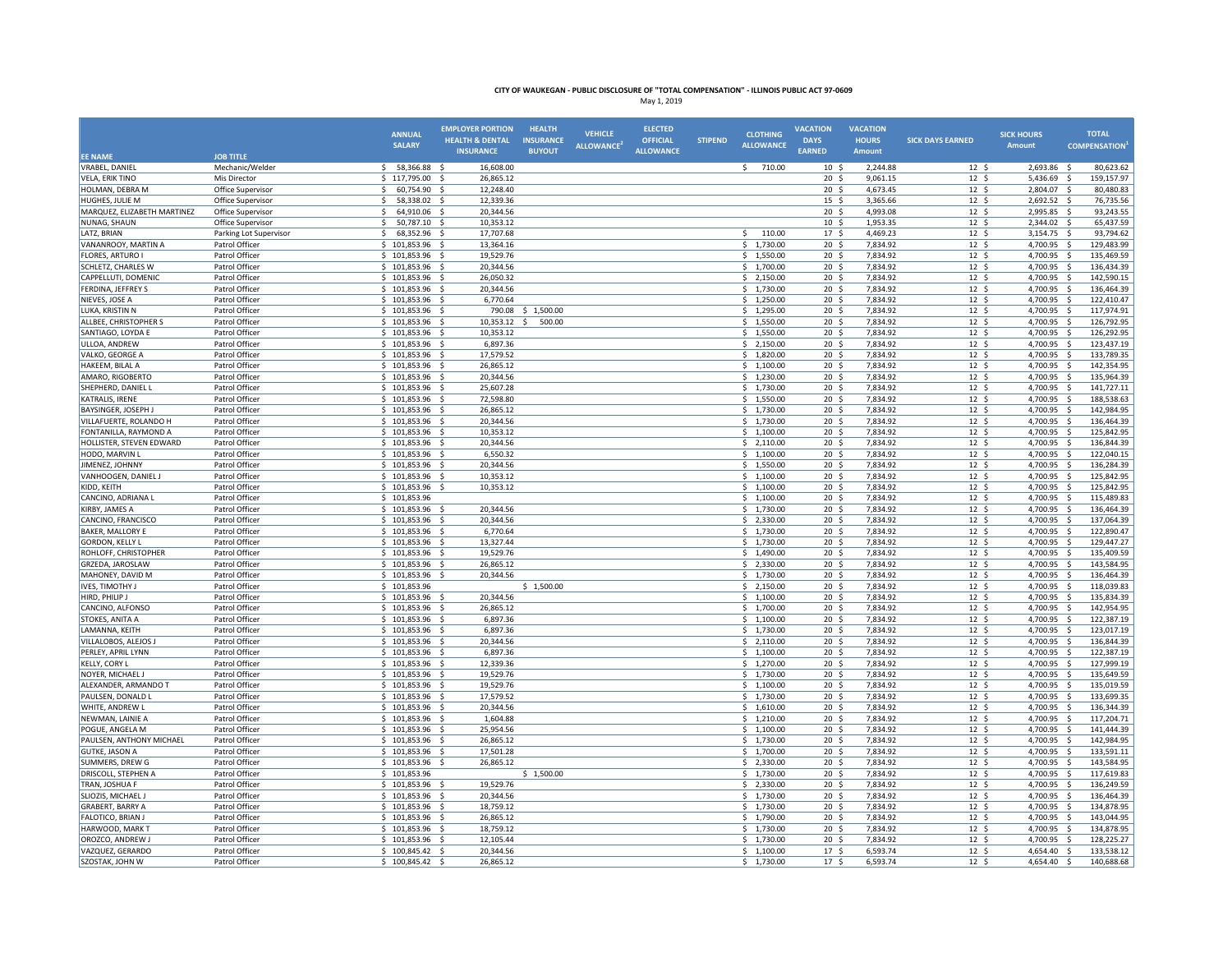|                                               |                                          | <b>ANNUAL</b>                        | <b>EMPLOYER PORTION</b>         | <b>HEALTH</b>    | <b>VEHICLE</b>   | <b>ELECTED</b>   |                | <b>CLOTHING</b>            | <b>VACATION</b>                     | <b>VACATION</b>      |                                     | <b>SICK HOURS</b>          | <b>TOTAL</b>                           |
|-----------------------------------------------|------------------------------------------|--------------------------------------|---------------------------------|------------------|------------------|------------------|----------------|----------------------------|-------------------------------------|----------------------|-------------------------------------|----------------------------|----------------------------------------|
|                                               |                                          | <b>SALARY</b>                        | <b>HEALTH &amp; DENTAL</b>      | <b>INSURANCE</b> | <b>ALLOWANCE</b> | <b>OFFICIAL</b>  | <b>STIPEND</b> | <b>ALLOWANCE</b>           | <b>DAYS</b>                         | <b>HOURS</b>         | <b>SICK DAYS EARNED</b>             | <b>Amount</b>              | <b>COMPENSATION</b>                    |
| <b>EE NAME</b>                                | <b>JOB TITLE</b>                         |                                      | <b>INSURANCE</b>                | <b>BUYOUT</b>    |                  | <b>ALLOWANCE</b> |                |                            | <b>EARNED</b>                       | <b>Amount</b>        |                                     |                            |                                        |
| <b>VRABEL, DANIEL</b>                         | Mechanic/Welder                          | 58,366.88 \$<br>S.                   | 16,608.00                       |                  |                  |                  |                | 710.00<br>\$               | $10 \frac{2}{3}$                    | 2,244.88             | 12 <sup>5</sup>                     | 2,693.86 \$                | 80,623.62                              |
| <b>VELA, ERIK TINO</b>                        | Mis Director                             | \$117,795.00 \$                      | 26,865.12                       |                  |                  |                  |                |                            | 20 <sub>5</sub>                     | 9,061.15             | 12 <sup>5</sup>                     | 5,436.69 \$                | 159,157.97                             |
| HOLMAN, DEBRA M                               | Office Supervisor                        | $\mathsf{S}$<br>60,754.90 \$         | 12.248.40                       |                  |                  |                  |                |                            | 20 <sub>5</sub>                     | 4,673.45             | $12 \quad$                          | 2,804.07 \$                | 80,480.83                              |
| HUGHES, JULIE M                               | Office Supervisor                        | \$<br>58,338.02                      | 12,339.36                       |                  |                  |                  |                |                            | $15 \;$ \$                          | 3,365.66             | $12 \div$                           | 2,692.52                   | 76,735.56<br>-\$                       |
| MARQUEZ, ELIZABETH MARTINEZ                   | Office Supervisor                        | -Ś<br>64,910.06                      | 20,344.56<br>- S                |                  |                  |                  |                |                            | 20 <sub>5</sub>                     | 4,993.08             | 12 <sup>5</sup>                     | 2,995.85                   | 93,243.55<br>-\$                       |
| NUNAG, SHAUN                                  | Office Supervisor                        | 50,787.10 \$<br>\$.                  | 10,353.12                       |                  |                  |                  |                |                            | $10 \frac{2}{3}$<br>17 <sup>5</sup> | 1,953.35             | 12 <sup>5</sup>                     | 2,344.02                   | 65,437.59<br>- \$<br>93,794.62         |
| LATZ, BRIAN<br>VANANROOY, MARTIN A            | Parking Lot Supervisor<br>Patrol Officer | S.<br>68,352.96 \$<br>\$101,853.96   | 17,707.68<br>- \$<br>13,364.16  |                  |                  |                  |                | \$<br>110.00<br>\$1,730.00 | 20 <sub>5</sub>                     | 4,469.23<br>7,834.92 | 12 <sup>5</sup><br>$12 \frac{2}{7}$ | 3,154.75<br>4,700.95       | - \$<br>129,483.99<br>-\$              |
| FLORES, ARTURO I                              | Patrol Officer                           | \$101,853.96                         | 19,529.76                       |                  |                  |                  |                | \$1,550.00                 | $20 \frac{2}{3}$                    | 7,834.92             | $12 \quad$                          | 4,700.95                   | 135,469.59<br>$\ddot{\mathsf{s}}$      |
| <b>SCHLETZ, CHARLES W</b>                     | Patrol Officer                           | 101,853.96                           | 20,344.56<br>$\sim$             |                  |                  |                  |                | \$1,700.00                 | 20 <sub>5</sub>                     | 7,834.92             | $12 \quad$                          | 4,700.95                   | s.<br>136,434.39                       |
| CAPPELLUTI, DOMENIC                           | Patrol Officer                           | \$101,853.96                         | 26,050.32<br>- S                |                  |                  |                  |                | \$2,150.00                 | 20 <sub>5</sub>                     | 7,834.92             | 12 <sup>5</sup>                     | 4,700.95                   | 142,590.15<br>- Ś                      |
| FERDINA, JEFFREY S                            | Patrol Officer                           | \$101,853.96                         | 20,344.56                       |                  |                  |                  |                | \$1,730.00                 | $20 \frac{2}{3}$                    | 7,834.92             | 12 <sup>5</sup>                     | 4,700.95 \$                | 136,464.39                             |
| NIEVES, JOSE A                                | Patrol Officer                           | $$101,853.96$ \$                     | 6,770.64                        |                  |                  |                  |                | \$1,250.00                 | 20 <sub>5</sub>                     | 7,834.92             | $12 \quad$                          | 4,700.95 \$                | 122,410.47                             |
| LUKA, KRISTIN N                               | Patrol Officer                           | \$101,853.96                         | 790.08                          | \$1,500.00       |                  |                  |                | \$1,295.00                 | 20 <sub>5</sub>                     | 7,834.92             | 12 <sup>5</sup>                     | 4,700.95                   | $\mathsf{S}$<br>117,974.91             |
| ALLBEE, CHRISTOPHER S                         | Patrol Officer                           | $$101.853.96$ \$                     | 10.353.12                       | S.<br>500.00     |                  |                  |                | \$1,550.00                 | 20 <sub>5</sub>                     | 7.834.92             | $12 \frac{2}{7}$                    | 4.700.95 \$                | 126.792.95                             |
| SANTIAGO, LOYDA E                             | Patrol Officer                           | $$101,853.96$ \$                     | 10,353.12                       |                  |                  |                  |                | \$1,550.00                 | 20 <sub>5</sub>                     | 7,834.92             | $\overline{12}$ \$                  | 4,700.95                   | 126,292.95<br>$\ddot{\mathsf{S}}$      |
| ULLOA, ANDREW                                 | Patrol Officer                           | $$101,853.96$ \$                     | 6,897.36                        |                  |                  |                  |                | \$2,150.00                 | 20 <sup>5</sup>                     | 7,834.92             | 12 <sup>5</sup>                     | 4,700.95 \$                | 123,437.19                             |
| VALKO, GEORGE A                               | Patrol Officer                           | \$101,853.96                         | 17,579.52<br>- \$               |                  |                  |                  |                | \$1,820.00                 | 20 <sup>5</sup>                     | 7,834.92             | $12 \quad$                          | 4,700.95                   | - \$<br>133,789.35                     |
| HAKEEM, BILAL A                               | Patrol Officer                           | \$101,853.96                         | 26,865.12                       |                  |                  |                  |                | \$1,100.00                 | $20 \frac{2}{3}$                    | 7,834.92             | $12 \frac{2}{7}$                    | 4,700.95                   | 142,354.95<br>s.                       |
| AMARO, RIGOBERTO                              | Patrol Officer                           | \$101,853.96                         | 20,344.56<br>- \$               |                  |                  |                  |                | \$1,230.00                 | 20 <sub>5</sub>                     | 7,834.92             | 12 <sup>5</sup>                     | 4,700.95                   | 135,964.39<br>- \$                     |
| SHEPHERD, DANIEL L                            | Patrol Officer                           | $$101,853.96$ \$                     | 25,607.28                       |                  |                  |                  |                | \$1,730.00                 | $20 \frac{2}{3}$                    | 7,834.92             | $12 \frac{2}{7}$                    | 4,700.95 \$                | 141,727.11                             |
| <b>KATRALIS, IRENE</b>                        | Patrol Officer                           | $$101,853.96$ \$                     | 72,598.80<br>26,865.12<br>- \$  |                  |                  |                  |                | \$1,550.00<br>\$1,730.00   | 20 <sub>5</sub><br>$20 \frac{2}{3}$ | 7,834.92<br>7,834.92 | $12 \quad$<br>$12 \text{ }$         | 4,700.95 \$<br>4,700.95 \$ | 188,538.63<br>142,984.95               |
| BAYSINGER, JOSEPH J<br>VILLAFUERTE, ROLANDO H | Patrol Officer<br>Patrol Officer         | \$101,853.96<br>\$101,853.96         | 20,344.56                       |                  |                  |                  |                | \$1,730.00                 | 20 <sup>5</sup>                     | 7,834.92             | 12 <sup>5</sup>                     | 4,700.95                   | $\ddot{\mathsf{s}}$<br>136,464.39      |
| FONTANILLA, RAYMOND A                         | Patrol Officer                           | $$101,853.96$ \$                     | 10,353.12                       |                  |                  |                  |                | \$1,100.00                 | 20 <sup>5</sup>                     | 7,834.92             | $12 \quad$                          | 4,700.95 \$                | 125,842.95                             |
| HOLLISTER, STEVEN EDWARD                      | Patrol Officer                           | $$101,853.96$ \$                     | 20,344.56                       |                  |                  |                  |                | \$2,110.00                 | 20 <sub>5</sub>                     | 7,834.92             | $12 \quad$                          | 4,700.95 \$                | 136,844.39                             |
| HODO, MARVIN L                                | Patrol Officer                           | $$101,853.96$ \$                     | 6,550.32                        |                  |                  |                  |                | \$1,100.00                 | $20 \frac{2}{3}$                    | 7,834.92             | $12 \frac{2}{7}$                    | 4,700.95 \$                | 122,040.15                             |
| JIMENEZ, JOHNNY                               | Patrol Officer                           | \$101,853.96                         | 20,344.56<br>- \$               |                  |                  |                  |                | \$1,550.00                 | 20 <sub>5</sub>                     | 7,834.92             | $12 \quad$                          | 4,700.95                   | $\ddot{\mathsf{s}}$<br>136,284.39      |
| VANHOOGEN, DANIEL J                           | Patrol Officer                           | \$101,853.96                         | 10,353.12                       |                  |                  |                  |                | \$1,100.00                 | 20 <sub>5</sub>                     | 7,834.92             | 12 <sup>5</sup>                     | 4,700.95                   | 125,842.95<br>-Ś                       |
| KIDD, KEITH                                   | Patrol Officer                           | $$101.853.96$ S                      | 10.353.12                       |                  |                  |                  |                | $5$ 1.100.00               | 20 <sub>5</sub>                     | 7.834.92             | 12 <sup>5</sup>                     | 4.700.95                   | s.<br>125.842.95                       |
| CANCINO, ADRIANA L                            | Patrol Officer                           | \$101,853.96                         |                                 |                  |                  |                  |                | \$1,100.00                 | $20 \frac{2}{3}$                    | 7,834.92             | $12 \frac{2}{7}$                    | 4,700.95 \$                | 115,489.83                             |
| KIRBY, JAMES A                                | Patrol Officer                           | $$101,853.96$ \$                     | 20,344.56                       |                  |                  |                  |                | \$1,730.00                 | 20 <sup>5</sup>                     | 7,834.92             | 12 <sup>5</sup>                     | 4,700.95 \$                | 136,464.39                             |
| CANCINO, FRANCISCO                            | Patrol Officer                           | \$101,853.96                         | 20,344.56                       |                  |                  |                  |                | \$2,330.00                 | 20 <sub>5</sub>                     | 7,834.92             | $12 \quad$                          | 4,700.95 \$                | 137,064.39                             |
| <b>BAKER, MALLORY E</b>                       | Patrol Officer                           | \$101,853.96                         | 6,770.64<br>- \$                |                  |                  |                  |                | \$1,730.00                 | 20 <sup>5</sup>                     | 7,834.92             | 12 <sup>5</sup>                     | 4,700.95                   | - \$<br>122,890.47                     |
| <b>GORDON, KELLY L</b>                        | Patrol Officer                           | $$101,853.96$ \$                     | 13,327.44                       |                  |                  |                  |                | \$1,730.00                 | 20 <sup>5</sup>                     | 7,834.92             | 12 <sup>5</sup>                     | 4,700.95                   | - \$<br>129,447.27                     |
| ROHLOFF, CHRISTOPHER                          | Patrol Officer                           | $$101,853.96$ \$                     | 19,529.76                       |                  |                  |                  |                | \$1,490.00                 | $20 \frac{2}{3}$                    | 7,834.92             | 12 <sup>5</sup>                     | 4,700.95 \$                | 135,409.59                             |
| GRZEDA, JAROSLAW                              | Patrol Officer                           | $$101,853.96$ \$                     | 26,865.12<br>20.344.56<br>- 5   |                  |                  |                  |                | \$2,330.00<br>\$1,730.00   | 20 <sup>5</sup><br>20 <sub>5</sub>  | 7,834.92<br>7,834.92 | 12 <sup>5</sup><br>$12\overline{5}$ | 4,700.95                   | 143,584.95<br>- \$<br>136,464.39<br>s. |
| MAHONEY, DAVID M<br>IVES, TIMOTHY J           | Patrol Officer<br>Patrol Officer         | \$101,853.96<br>Ŝ.<br>101,853.96     |                                 | \$1,500.00       |                  |                  |                | \$2,150.00                 | 20 <sub>5</sub>                     | 7,834.92             | 12 <sup>5</sup>                     | 4,700.95<br>4,700.95       | -Ś<br>118,039.83                       |
| HIRD, PHILIP J                                | Patrol Officer                           | \$101,853.96                         | 20.344.56<br>$\dot{\mathbf{s}}$ |                  |                  |                  |                | \$1,100.00                 | 20 <sub>5</sub>                     | 7,834.92             | $12 \quad$                          | 4,700.95                   | S.<br>135,834.39                       |
| CANCINO, ALFONSO                              | Patrol Officer                           | $$101,853.96$ \$                     | 26,865.12                       |                  |                  |                  |                | \$1,700.00                 | 20 <sub>5</sub>                     | 7,834.92             | 12 <sup>5</sup>                     | 4,700.95 \$                | 142,954.95                             |
| STOKES, ANITA A                               | Patrol Officer                           | $$101,853.96$ \$                     | 6,897.36                        |                  |                  |                  |                | \$1,100.00                 | $20 \frac{2}{3}$                    | 7,834.92             | $12 \frac{1}{2}$                    | 4,700.95 \$                | 122,387.19                             |
| LAMANNA, KEITH                                | Patrol Officer                           | $$101,853.96$ \$                     | 6,897.36                        |                  |                  |                  |                | \$1,730.00                 | 20 <sub>5</sub>                     | 7,834.92             | $12 \text{ }$                       | 4,700.95 \$                | 123,017.19                             |
| VILLALOBOS, ALEJOS J                          | Patrol Officer                           | \$101,853.96                         | 20,344.56<br>- S                |                  |                  |                  |                | \$2,110.00                 | 20 <sup>5</sup>                     | 7,834.92             | 12 <sup>5</sup>                     | 4,700.95                   | 136,844.39<br>- \$                     |
| PERLEY, APRIL LYNN                            | Patrol Officer                           | $$101,853.96$ \$                     | 6.897.36                        |                  |                  |                  |                | \$1,100.00                 | 20 <sub>5</sub>                     | 7.834.92             | 12 <sup>5</sup>                     | 4,700.95                   | S.<br>122.387.19                       |
| <b>KELLY, CORY L</b>                          | Patrol Officer                           | $$101,853.96$ \$                     | 12,339.36                       |                  |                  |                  |                | \$1,270.00                 | $20 \frac{2}{3}$                    | 7,834.92             | $12 \frac{2}{7}$                    | 4,700.95                   | 127,999.19<br>-\$                      |
| NOYER, MICHAEL J                              | Patrol Officer                           | $$101,853.96$ \$                     | 19,529.76                       |                  |                  |                  |                | \$1,730.00                 | 20 <sub>5</sub>                     | 7,834.92             | 12 <sup>5</sup>                     | 4,700.95                   | 135,649.59<br>- \$                     |
| ALEXANDER, ARMANDO T                          | Patrol Officer                           | \$101,853.96                         | 19,529.76                       |                  |                  |                  |                | \$1,100.00                 | 20 <sub>5</sub>                     | 7,834.92             | $12 \quad$                          | 4,700.95                   | $\ddot{\mathsf{s}}$<br>135,019.59      |
| PAULSEN, DONALD I                             | Patrol Officer                           | 101,853.96                           | 17,579.52                       |                  |                  |                  |                | \$1,730.00                 | 20 <sub>5</sub>                     | 7,834.92             | 12 <sup>5</sup>                     | 4,700.95                   | $\dot{\mathbf{s}}$<br>133.699.35       |
| WHITE, ANDREW L                               | Patrol Officer                           | \$101,853.96                         | 20,344.56<br>-\$                |                  |                  |                  |                | \$1,610.00                 | 20 <sub>5</sub>                     | 7,834.92             | $12 \frac{2}{7}$                    | 4,700.95                   | 136,344.39<br>- \$                     |
| NEWMAN, LAINIE A                              | Patrol Officer                           | $$101,853.96$ \$                     | 1,604.88                        |                  |                  |                  |                | \$1,210.00                 | $20 \frac{2}{3}$                    | 7,834.92             | $12 \frac{2}{7}$                    | 4,700.95 \$                | 117,204.71                             |
| POGUE, ANGELA M                               | Patrol Officer                           | $$101,853.96$ \$                     | 25,954.56                       |                  |                  |                  |                | \$1,100.00                 | 20 <sup>5</sup>                     | 7,834.92             | 12 <sup>5</sup>                     | 4,700.95 \$                | 141,444.39                             |
| PAULSEN, ANTHONY MICHAEL                      | Patrol Officer                           | \$101,853.96                         | 26,865.12<br>- \$               |                  |                  |                  |                | \$1,730.00                 | 20 <sub>5</sub>                     | 7,834.92             | $12 \quad$                          | $4,700.95$ \$              | 142,984.95                             |
| <b>GUTKE, JASON A</b><br>SUMMERS, DREW G      | Patrol Officer<br>Patrol Officer         | $$101,853.96$ \$<br>$$101,853.96$ \$ | 17,501.28<br>26,865.12          |                  |                  |                  |                | \$1,700.00<br>\$2,330.00   | $20 \frac{2}{3}$<br>20 <sub>5</sub> | 7,834.92<br>7,834.92 | $12 \frac{2}{7}$<br>12 <sup>5</sup> | 4,700.95 \$<br>4,700.95 \$ | 133,591.11<br>143,584.95               |
| DRISCOLL, STEPHEN A                           | Patrol Officer                           | \$101,853.96                         |                                 | \$1,500.00       |                  |                  |                | \$1,730.00                 | 20 <sub>5</sub>                     | 7,834.92             | 12 <sup>5</sup>                     | 4,700.95                   | - \$<br>117,619.83                     |
| TRAN. JOSHUA F                                | Patrol Officer                           | \$101,853.96                         | 19.529.76<br>- \$               |                  |                  |                  |                | \$2,330.00                 | 20 <sub>5</sub>                     | 7.834.92             | 12 <sup>5</sup>                     | 4.700.95                   | - Ś<br>136.249.59                      |
| SLIOZIS, MICHAEL J                            | Patrol Officer                           | \$101,853.96                         | 20,344.56                       |                  |                  |                  |                | 1,730.00                   | $20 \frac{2}{3}$                    | 7,834.92             | $12 \text{ }$                       | 4,700.95                   | $\ddot{\mathsf{s}}$<br>136,464.39      |
| GRABERT, BARRY A                              | Patrol Officer                           | \$101,853.96                         | 18,759.12<br>- \$               |                  |                  |                  |                | \$1,730.00                 | 20 <sub>5</sub>                     | 7,834.92             | 12 <sup>5</sup>                     | 4,700.95                   | -\$<br>134,878.95                      |
| FALOTICO, BRIAN J                             | Patrol Officer                           | $$101,853.96$ \$                     | 26.865.12                       |                  |                  |                  |                | \$1,790.00                 | 20 <sub>5</sub>                     | 7.834.92             | $12 \quad$                          | 4.700.95                   | s.<br>143.044.95                       |
| HARWOOD, MARK 1                               | Patrol Officer                           | \$101,853.96                         | 18,759.12                       |                  |                  |                  |                | \$1,730.00                 | $20 \frac{2}{3}$                    | 7,834.92             | $12 \frac{1}{2}$                    | 4,700.95                   | 134,878.95<br>- S                      |
| OROZCO, ANDREW.                               | Patrol Officer                           | $$101,853.96$ \$                     | 12,105.44                       |                  |                  |                  |                | \$1,730.00                 | 20 <sub>5</sub>                     | 7,834.92             | 12 <sup>5</sup>                     | 4,700.95 \$                | 128,225.27                             |
| VAZQUEZ, GERARDO                              | Patrol Officer                           | $$100,845.42$ \$                     | 20,344.56                       |                  |                  |                  |                | \$1,100.00                 | 17 <sup>5</sup>                     | 6,593.74             | 12 <sup>5</sup>                     | 4,654.40                   | $\overline{\mathsf{s}}$<br>133,538.12  |
| SZOSTAK, JOHN W                               | Patrol Officer                           | $$100,845.42$ \$                     | 26,865.12                       |                  |                  |                  |                | \$1,730.00                 | 17 <sup>5</sup>                     | 6,593.74             | 12 <sup>5</sup>                     | 4,654.40 \$                | 140,688.68                             |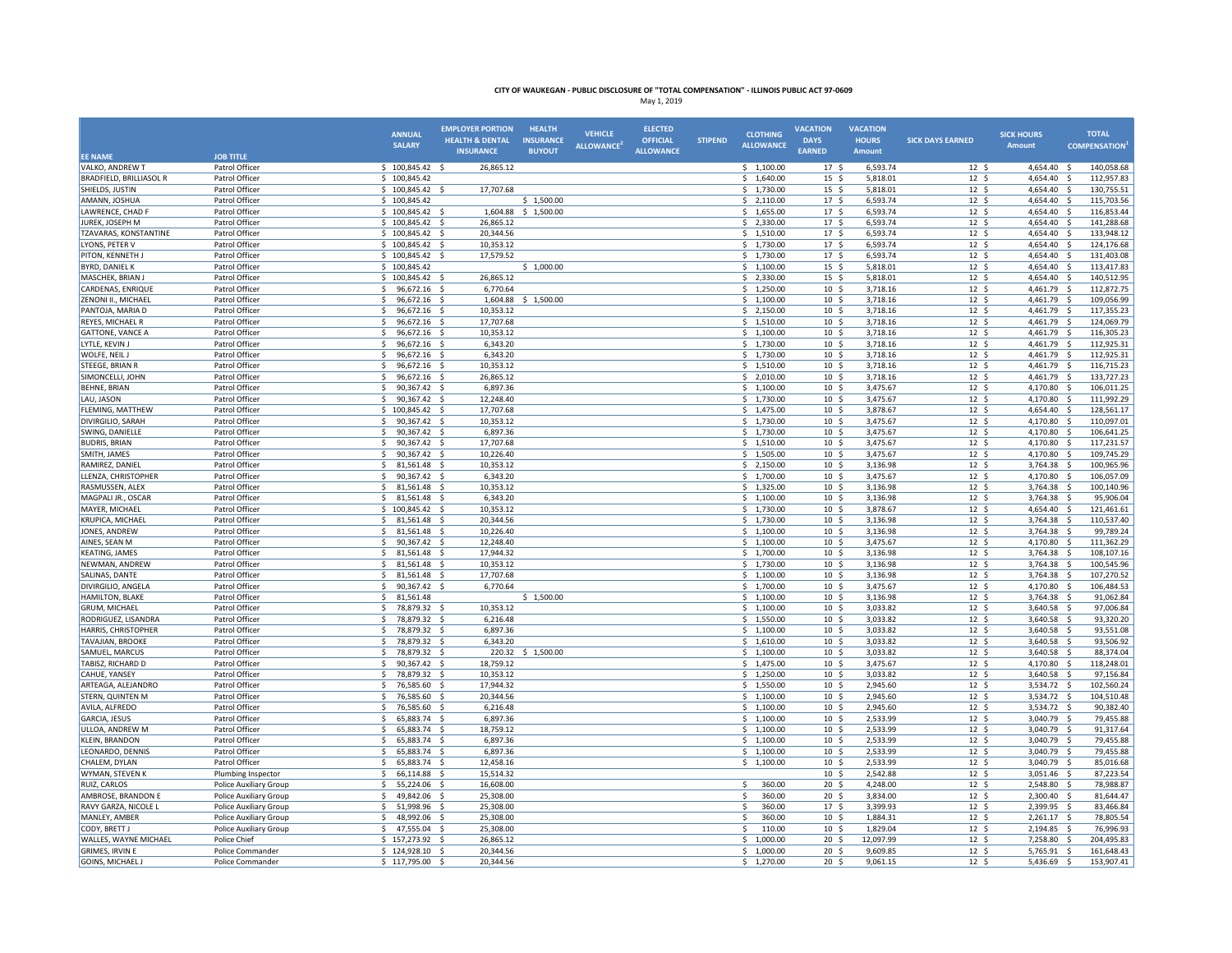|                                            |                                                         | <b>ANNUAL</b><br><b>SALARY</b>           | <b>EMPLOYER PORTION</b><br><b>HEALTH &amp; DENTAL</b> | <b>HEALTH</b><br><b>INSURANCE</b> | <b>VEHICLE</b><br><b>ALLOWANCE</b> | <b>ELECTED</b><br><b>OFFICIAL</b> | <b>STIPEND</b> | <b>CLOTHING</b><br><b>ALLOWANCE</b> | <b>VACATION</b><br><b>DAYS</b>       | <b>VACATION</b><br><b>HOURS</b> | <b>SICK DAYS EARNED</b>             | <b>SICK HOURS</b><br><b>Amount</b> | <b>TOTAL</b><br><b>COMPENSATION</b> |
|--------------------------------------------|---------------------------------------------------------|------------------------------------------|-------------------------------------------------------|-----------------------------------|------------------------------------|-----------------------------------|----------------|-------------------------------------|--------------------------------------|---------------------------------|-------------------------------------|------------------------------------|-------------------------------------|
| <b>EE NAME</b>                             | <b>JOB TITLE</b>                                        |                                          | <b>INSURANCE</b>                                      | <b>BUYOUT</b>                     |                                    | <b>ALLOWANCE</b>                  |                |                                     | <b>EARNED</b>                        | Amount                          |                                     |                                    |                                     |
| VALKO, ANDREW T                            | Patrol Officer                                          | $$100,845.42$ \$                         | 26,865.12                                             |                                   |                                    |                                   |                | \$1,100.00                          | 17 <sup>5</sup>                      | 6,593.74                        | 12 <sup>5</sup>                     | 4,654.40                           | - \$<br>140,058.68                  |
| <b>BRADFIELD, BRILLIASOL R</b>             | Patrol Officer                                          | \$100,845.42                             |                                                       |                                   |                                    |                                   |                | \$1,640.00                          | $15 \frac{2}{3}$                     | 5,818.01                        | 12 <sup>5</sup>                     | 4,654.40 \$                        | 112,957.83                          |
| SHIELDS, JUSTIN                            | Patrol Officer                                          | $$100,845.42$ \$                         | 17,707.68                                             |                                   |                                    |                                   |                | \$1,730.00                          | 15 <sup>5</sup>                      | 5,818.01                        | 12 <sup>5</sup>                     | 4,654.40 \$                        | 130,755.51                          |
| AMANN, JOSHUA                              | Patrol Officer                                          | \$100,845.42                             |                                                       | \$1,500.00                        |                                    |                                   |                | \$2,110.00                          | 17 <sup>5</sup>                      | 6,593.74                        | 12 <sup>5</sup>                     | 4,654.40                           | s.<br>115,703.56                    |
| LAWRENCE, CHAD F                           | Patrol Officer                                          | \$100,845.42                             | 1,604.88                                              | \$1,500.00                        |                                    |                                   |                | \$1,655.00                          | 17 <sup>5</sup>                      | 6,593.74                        | 12 <sup>5</sup>                     | 4,654.40                           | - \$<br>116,853.44                  |
| JUREK, JOSEPH M                            | Patrol Officer                                          | \$100,845.42                             | 26,865.12<br>- 5                                      |                                   |                                    |                                   |                | \$2,330.00                          | 17 <sup>5</sup>                      | 6,593.74                        | 12 <sup>5</sup>                     | 4,654.40                           | $\ddot{\mathsf{s}}$<br>141,288.68   |
| TZAVARAS, KONSTANTINE<br>LYONS, PETER V    | Patrol Officer<br>Patrol Officer                        | \$100,845.42<br>$$100,845.42$ \$         | 20,344.56<br>- S<br>10,353.12                         |                                   |                                    |                                   |                | \$1,510.00<br>\$1,730.00            | 17 <sup>5</sup><br>17 <sup>5</sup>   | 6,593.74<br>6,593.74            | 12 <sup>5</sup><br>12 <sup>5</sup>  | 4,654.40 \$<br>4,654.40            | 133,948.12<br>124,176.68<br>- S     |
| PITON, KENNETH J                           | Patrol Officer                                          | \$100,845.42                             | 17,579.52<br>- \$                                     |                                   |                                    |                                   |                | \$1,730.00                          | 17 <sup>5</sup>                      | 6,593.74                        | 12 <sup>5</sup>                     | 4,654.40                           | 131,403.08<br>-\$                   |
| BYRD, DANIEL K                             | Patrol Officer                                          | 100,845.42                               |                                                       | \$1,000.00                        |                                    |                                   |                | \$1,100.00                          | 15 <sup>5</sup>                      | 5,818.01                        | 12 <sup>5</sup>                     | 4,654.40                           | -\$<br>113,417.83                   |
| MASCHEK, BRIAN J                           | Patrol Officer                                          | \$100,845.42                             | 26,865.12                                             |                                   |                                    |                                   |                | \$2,330.00                          | 15 <sup>5</sup>                      | 5,818.01                        | 12 <sup>5</sup>                     | 4.654.40                           | s.<br>140,512.95                    |
| CARDENAS, ENRIQUE                          | Patrol Officer                                          | 96,672.16 \$<br>-S                       | 6,770.64                                              |                                   |                                    |                                   |                | \$1,250.00                          | 10 <sup>5</sup>                      | 3,718.16                        | 12 <sup>5</sup>                     | 4,461.79                           | 112,872.75<br>- \$                  |
| ZENONI II., MICHAEL                        | Patrol Officer                                          | \$<br>96,672.16 \$                       | 1,604.88                                              | \$1,500.00                        |                                    |                                   |                | \$1,100.00                          | 10 <sup>5</sup>                      | 3,718.16                        | 12 <sup>5</sup>                     | 4,461.79 \$                        | 109,056.99                          |
| PANTOJA, MARIA D                           | Patrol Officer                                          | <sub>S</sub><br>96,672.16 \$             | 10,353.12                                             |                                   |                                    |                                   |                | \$2,150.00                          | 10 <sup>5</sup>                      | 3,718.16                        | 12 <sup>5</sup>                     | 4,461.79                           | - \$<br>117,355.23                  |
| REYES, MICHAEL R                           | Patrol Officer                                          | -Ś<br>96,672.16                          | 17,707.68                                             |                                   |                                    |                                   |                | \$1,510.00                          | 10 <sup>5</sup>                      | 3,718.16                        | 12 <sup>5</sup>                     | 4,461.79                           | S.<br>124,069.79                    |
| <b>GATTONE, VANCE A</b>                    | Patrol Officer                                          | 96,672.16 \$<br>-S                       | 10,353.12                                             |                                   |                                    |                                   |                | \$1,100.00                          | 10 <sup>5</sup>                      | 3.718.16                        | $12 \text{ }$                       | 4,461.79                           | - \$<br>116,305.23                  |
| LYTLE, KEVIN J                             | Patrol Officer                                          | 96,672.16 \$<br>\$                       | 6,343.20                                              |                                   |                                    |                                   |                | \$1,730.00                          | $10 \frac{2}{3}$                     | 3,718.16                        | $12 \frac{1}{2}$                    | 4,461.79                           | 112,925.31<br>-\$                   |
| WOLFE, NEIL J                              | Patrol Officer                                          | \$<br>96,672.16 \$                       | 6,343.20                                              |                                   |                                    |                                   |                | \$1,730.00                          | 10 <sup>5</sup>                      | 3,718.16                        | 12 <sup>5</sup>                     | 4,461.79                           | 112,925.31<br>-\$                   |
| STEEGE, BRIAN R                            | Patrol Officer                                          | -Ś<br>96,672.16                          | 10,353.12<br>- \$                                     |                                   |                                    |                                   |                | \$1,510.00                          | 10 <sup>5</sup>                      | 3,718.16                        | 12 <sup>5</sup>                     | 4,461.79                           | 116,715.23<br>$\ddot{\mathsf{s}}$   |
| SIMONCELLI, JOHN                           | Patrol Officer                                          | 96,672.16                                | 26,865.12                                             |                                   |                                    |                                   |                | \$2,010.00                          | 10 <sup>5</sup>                      | 3,718.16                        | 12 <sup>5</sup>                     | 4,461.79                           | s.<br>133,727.23                    |
| BEHNE, BRIAN                               | Patrol Officer                                          | 90,367.42<br>\$                          | 6,897.36<br>- \$                                      |                                   |                                    |                                   |                | \$1,100.00                          | $10 \frac{2}{3}$                     | 3,475.67                        | $12 \; \text{S}$                    | 4,170.80                           | 106,011.25<br>- \$                  |
| LAU, JASON                                 | Patrol Officer                                          | 90,367.42 \$<br>-Ś                       | 12,248.40                                             |                                   |                                    |                                   |                | \$1,730.00                          | 10 <sup>5</sup>                      | 3,475.67                        | 12 <sup>5</sup>                     | 4,170.80                           | -\$<br>111,992.29                   |
| FLEMING, MATTHEW                           | Patrol Officer                                          | \$100,845.42\$                           | 17,707.68                                             |                                   |                                    |                                   |                | \$1,475.00                          | 10 <sup>5</sup>                      | 3,878.67                        | $12 \quad$                          | 4,654.40 \$                        | 128,561.17                          |
| <b>DIVIRGILIO, SARAH</b>                   | Patrol Officer                                          | -Ś<br>90,367.42 \$                       | 10,353.12<br>6,897.36                                 |                                   |                                    |                                   |                | \$1,730.00                          | 10 <sup>5</sup>                      | 3,475.67                        | 12 <sup>5</sup>                     | 4,170.80                           | - \$<br>110,097.01<br>- \$          |
| SWING, DANIELLE<br><b>BUDRIS, BRIAN</b>    | Patrol Officer<br>Patrol Officer                        | \$<br>90,367.42 \$<br>\$<br>90,367.42 \$ | 17,707.68                                             |                                   |                                    |                                   |                | \$1,730.00<br>\$1,510.00            | $10 \frac{1}{5}$<br>$10 \frac{2}{3}$ | 3,475.67<br>3,475.67            | $12 \frac{2}{7}$<br>12 <sup>5</sup> | 4,170.80<br>4,170.80               | 106,641.25<br>117,231.57<br>- \$    |
| SMITH, JAMES                               | Patrol Officer                                          | \$<br>90,367.42 \$                       | 10,226.40                                             |                                   |                                    |                                   |                | \$1,505.00                          | 10 <sup>5</sup>                      | 3,475.67                        | 12 <sup>5</sup>                     | 4,170.80                           | -\$<br>109,745.29                   |
| RAMIREZ, DANIEL                            | Patrol Officer                                          | $\mathsf{s}$<br>81,561.48 \$             | 10,353.12                                             |                                   |                                    |                                   |                | \$2,150.00                          | 10 <sub>5</sub>                      | 3,136.98                        | 12 <sup>5</sup>                     | 3,764.38                           | - Ś<br>100,965.96                   |
| LLENZA, CHRISTOPHER                        | Patrol Officer                                          | -Ś<br>90,367.42                          | 6,343.20                                              |                                   |                                    |                                   |                | \$1,700.00                          | $10 \frac{2}{3}$                     | 3,475.67                        | $12 \frac{2}{7}$                    | 4,170.80                           | 106,057.09<br>-Ś                    |
| RASMUSSEN, ALEX                            | Patrol Officer                                          | -Ś<br>81,561.48                          | 10,353.12<br>- S                                      |                                   |                                    |                                   |                | \$1,325.00                          | 10 <sup>5</sup>                      | 3,136.98                        | 12 <sup>5</sup>                     | 3,764.38                           | $\dot{\mathbf{s}}$<br>100,140.96    |
| MAGPALI JR., OSCAR                         | Patrol Officer                                          | 81,561.48 \$<br>-Ś                       | 6,343.20                                              |                                   |                                    |                                   |                | \$1,100.00                          | 10 <sup>5</sup>                      | 3,136.98                        | 12 <sup>5</sup>                     | 3,764.38                           | 95,906.04<br>-\$                    |
| MAYER, MICHAEL                             | Patrol Officer                                          | \$100,845.42\$                           | 10,353.12                                             |                                   |                                    |                                   |                | \$1,730.00                          | 10 <sup>5</sup>                      | 3,878.67                        | 12 <sup>5</sup>                     | 4,654.40 \$                        | 121,461.61                          |
| KRUPICA, MICHAEI                           | Patrol Officer                                          | 81,561.48<br>-Ś                          | 20,344.56<br>$\sim$                                   |                                   |                                    |                                   |                | \$1,730.00                          | 10 <sup>5</sup>                      | 3,136.98                        | $12 \text{ }$                       | 3,764.38                           | $\ddot{\mathsf{s}}$<br>110,537.40   |
| JONES, ANDREW                              | Patrol Officer                                          | \$<br>81,561.48 \$                       | 10,226.40                                             |                                   |                                    |                                   |                | \$1,100.00                          | $10 \frac{2}{3}$                     | 3,136.98                        | $12 \quad$                          | 3,764.38                           | -\$<br>99,789.24                    |
| AINES, SEAN M                              | Patrol Officer                                          | \$<br>90,367.42 \$                       | 12,248.40                                             |                                   |                                    |                                   |                | \$1,100.00                          | 10 <sup>5</sup>                      | 3,475.67                        | 12 <sup>5</sup>                     | 4,170.80                           | $\ddot{\mathsf{s}}$<br>111,362.29   |
| <b>KEATING, JAMES</b>                      | Patrol Officer                                          | 81,561.48 \$<br>-S                       | 17,944.32                                             |                                   |                                    |                                   |                | \$1,700.00                          | 10 <sup>5</sup>                      | 3,136.98                        | 12 <sup>5</sup>                     | 3,764.38                           | - \$<br>108,107.16                  |
| NEWMAN, ANDREW                             | Patrol Officer                                          | 81,561.48 \$<br>-Ś                       | 10,353.12                                             |                                   |                                    |                                   |                | \$1,730.00                          | $10 \frac{2}{3}$                     | 3,136.98                        | 12 <sup>5</sup>                     | 3,764.38                           | - \$<br>100,545.96                  |
| SALINAS, DANTE                             | Patrol Officer                                          | <sup>5</sup><br>81,561.48                | 17,707.68<br>$\mathbf{S}$                             |                                   |                                    |                                   |                | \$1,100.00                          | 10 <sup>5</sup>                      | 3,136.98                        | 12 <sup>5</sup>                     | 3,764.38                           | s.<br>107,270.52                    |
| DIVIRGILIO, ANGELA                         | Patrol Officer                                          | -Ś<br>90,367.42                          | 6,770.64                                              |                                   |                                    |                                   |                | \$1,700.00                          | 10 <sup>5</sup>                      | 3,475.67                        | 12 <sup>5</sup>                     | 4,170.80                           | 106,484.53<br>$\dot{\mathbf{s}}$    |
| HAMILTON, BLAKE                            | Patrol Officer                                          | -Ś<br>81,561.48                          |                                                       | \$1,500.00                        |                                    |                                   |                | \$1,100.00                          | 10 <sup>5</sup>                      | 3.136.98                        | 12 <sup>5</sup>                     | 3.764.38                           | $\dot{\mathbf{s}}$<br>91.062.84     |
| GRUM, MICHAEL<br>RODRIGUEZ, LISANDRA       | Patrol Officer<br>Patrol Officer                        | 78,879.32<br>-\$<br>78,879.32 \$<br>-Ś   | 10,353.12<br>- S<br>6,216.48                          |                                   |                                    |                                   |                | \$1,100.00<br>\$1,550.00            | $10 \frac{2}{3}$<br>10 <sup>5</sup>  | 3,033.82<br>3,033.82            | $12 \frac{2}{7}$<br>12 <sup>5</sup> | 3,640.58<br>3,640.58 \$            | 97,006.84<br>- \$<br>93,320.20      |
| HARRIS, CHRISTOPHER                        | Patrol Officer                                          | $\mathsf{S}$<br>78,879.32 \$             | 6,897.36                                              |                                   |                                    |                                   |                | \$1,100.00                          | 10 <sup>5</sup>                      | 3,033.82                        | $12 \quad$                          | 3,640.58                           | s.<br>93,551.08                     |
| TAVAJIAN, BROOKE                           | Patrol Officer                                          | -Ś<br>78,879.32                          | 6,343.20                                              |                                   |                                    |                                   |                | \$1,610.00                          | 10 <sup>5</sup>                      | 3,033.82                        | 12 <sup>5</sup>                     | 3,640.58                           | 93,506.92<br>- \$                   |
| SAMUEL, MARCUS                             | Patrol Officer                                          | \$<br>78,879.32                          | 220.32<br>- \$                                        | \$1,500.00                        |                                    |                                   |                | \$1,100.00                          | 10 <sup>5</sup>                      | 3,033.82                        | 12 <sup>5</sup>                     | 3,640.58                           | -\$<br>88,374.04                    |
| TABISZ, RICHARD D                          | Patrol Officer                                          | 90,367.42 \$<br>\$                       | 18,759.12                                             |                                   |                                    |                                   |                | \$1,475.00                          | $10 \frac{2}{3}$                     | 3,475.67                        | $12 \frac{2}{7}$                    | 4,170.80                           | 118,248.01<br>- S                   |
| CAHUE, YANSEY                              | Patrol Officer                                          | $\mathsf{S}$<br>78,879.32 \$             | 10,353.12                                             |                                   |                                    |                                   |                | \$1,250.00                          | 10 <sup>5</sup>                      | 3,033.82                        | 12 <sup>5</sup>                     | 3,640.58                           | 97,156.84<br>$\dot{\mathbf{s}}$     |
| ARTEAGA, ALEJANDRO                         | Patrol Officer                                          | $\leq$<br>76,585.60                      | 17,944.32                                             |                                   |                                    |                                   |                | \$1,550.00                          | 10 <sup>5</sup>                      | 2,945.60                        | 12 <sup>5</sup>                     | 3,534.72                           | 102,560.24<br>s.                    |
| STERN, QUINTEN M                           | Patrol Officer                                          | 76,585.60                                | 20,344.56                                             |                                   |                                    |                                   |                | \$1,100.00                          | 10 <sup>5</sup>                      | 2,945.60                        | 12 <sup>5</sup>                     | 3,534.72                           | -Ś<br>104,510.48                    |
| AVILA, ALFREDO                             | Patrol Officer                                          | -Ś<br>76,585.60                          | 6,216.48<br>-Ś                                        |                                   |                                    |                                   |                | \$1,100.00                          | 10 <sup>5</sup>                      | 2,945.60                        | $12 \quad$ \$                       | 3,534.72                           | 90,382.40<br>-\$                    |
| GARCIA, JESUS                              | Patrol Officer                                          | 65,883.74 \$<br>\$                       | 6,897.36                                              |                                   |                                    |                                   |                | \$1,100.00                          | 10 <sup>5</sup>                      | 2,533.99                        | $12 \frac{2}{7}$                    | 3,040.79                           | 79,455.88<br>-\$                    |
| ULLOA, ANDREW M                            | Patrol Officer                                          | 65,883.74 \$<br>-S                       | 18,759.12                                             |                                   |                                    |                                   |                | \$1,100.00                          | 10 <sup>5</sup>                      | 2,533.99                        | 12 <sup>5</sup>                     | 3,040.79 \$                        | 91,317.64                           |
| KLEIN, BRANDON                             | Patrol Officer                                          | <sup>5</sup><br>65,883.74 \$             | 6,897.36                                              |                                   |                                    |                                   |                | \$1,100.00                          | $10 \frac{2}{3}$                     | 2,533.99                        | $12 \quad$                          | 3,040.79                           | 79,455.88<br>-\$                    |
| LEONARDO, DENNIS                           | Patrol Officer                                          | \$<br>65,883.74 \$                       | 6,897.36                                              |                                   |                                    |                                   |                | \$1,100.00                          | 10 <sup>5</sup>                      | 2,533.99                        | 12 <sup>5</sup>                     | 3,040.79                           | 79,455.88<br>- \$                   |
| CHALEM, DYLAN                              | Patrol Officer                                          | 65,883.74 \$<br>\$                       | 12,458.16                                             |                                   |                                    |                                   |                | \$1,100.00                          | 10 <sup>5</sup>                      | 2,533.99                        | 12 <sup>5</sup>                     | 3,040.79                           | 85,016.68<br>- \$                   |
| WYMAN, STEVEN K                            | Plumbing Inspector                                      | -S<br>66,114.88 \$                       | 15,514.32                                             |                                   |                                    |                                   |                |                                     | 10 <sup>5</sup>                      | 2,542.88                        | 12 <sup>5</sup>                     | $3,051.46$ \$                      | 87,223.54                           |
| RUIZ, CARLOS                               | Police Auxiliary Group                                  | \$<br>55,224.06 \$                       | 16,608.00                                             |                                   |                                    |                                   |                | \$<br>360.00<br>Ś                   | 20 <sub>5</sub>                      | 4,248.00                        | 12 <sup>5</sup>                     | 2,548.80                           | 78,988.87<br>-\$<br>-Ś              |
| AMBROSE, BRANDON E<br>RAVY GARZA, NICOLE L | Police Auxiliary Group<br><b>Police Auxiliary Group</b> | 49,842.06<br>-Ś<br>51,998.96             | 25,308.00<br>25,308.00                                |                                   |                                    |                                   |                | 360.00<br>360.00<br>Ŝ.              | $20 \frac{2}{3}$<br>17 <sup>5</sup>  | 3,834.00<br>3,399.93            | $12 \text{ }$<br>12 <sup>5</sup>    | 2,300.40<br>2,399.95               | 81,644.47<br>83,466.84<br>-Ś        |
| MANLEY, AMBER                              | <b>Police Auxiliary Group</b>                           | 48.992.06<br>-Ś                          | 25.308.00<br>- \$                                     |                                   |                                    |                                   |                | 360.00<br>Ŝ.                        | 10 <sub>5</sub>                      | 1.884.31                        | 12 <sup>5</sup>                     | 2.261.17                           | s.<br>78.805.54                     |
| CODY, BRETT J                              | Police Auxiliary Group                                  | 47,555.04 \$<br>\$                       | 25,308.00                                             |                                   |                                    |                                   |                | 110.00<br>\$.                       | $10 \frac{2}{3}$                     | 1,829.04                        | $12 \frac{1}{2}$                    | 2,194.85                           | 76,996.93<br>-S                     |
| WALLES, WAYNE MICHAEL                      | Police Chief                                            | $$157,273.92$ \$                         | 26,865.12                                             |                                   |                                    |                                   |                | \$1,000.00                          | 20 <sub>5</sub>                      | 12,097.99                       | 12 <sup>5</sup>                     | 7,258.80 \$                        | 204,495.83                          |
| <b>GRIMES, IRVIN E</b>                     | Police Commander                                        | \$124,928.10\$                           | 20,344.56                                             |                                   |                                    |                                   |                | \$1,000.00                          | 20 <sub>5</sub>                      | 9,609.85                        | 12 <sup>5</sup>                     | 5,765.91                           | 161,648.43<br>$\ddot{\mathsf{s}}$   |
| <b>GOINS, MICHAEL J</b>                    | Police Commander                                        | 117,795.00 \$                            | 20,344.56                                             |                                   |                                    |                                   |                | \$1,270.00                          | $20 \frac{2}{3}$                     | 9,061.15                        | 12 <sup>5</sup>                     | 5,436.69 \$                        | 153,907.41                          |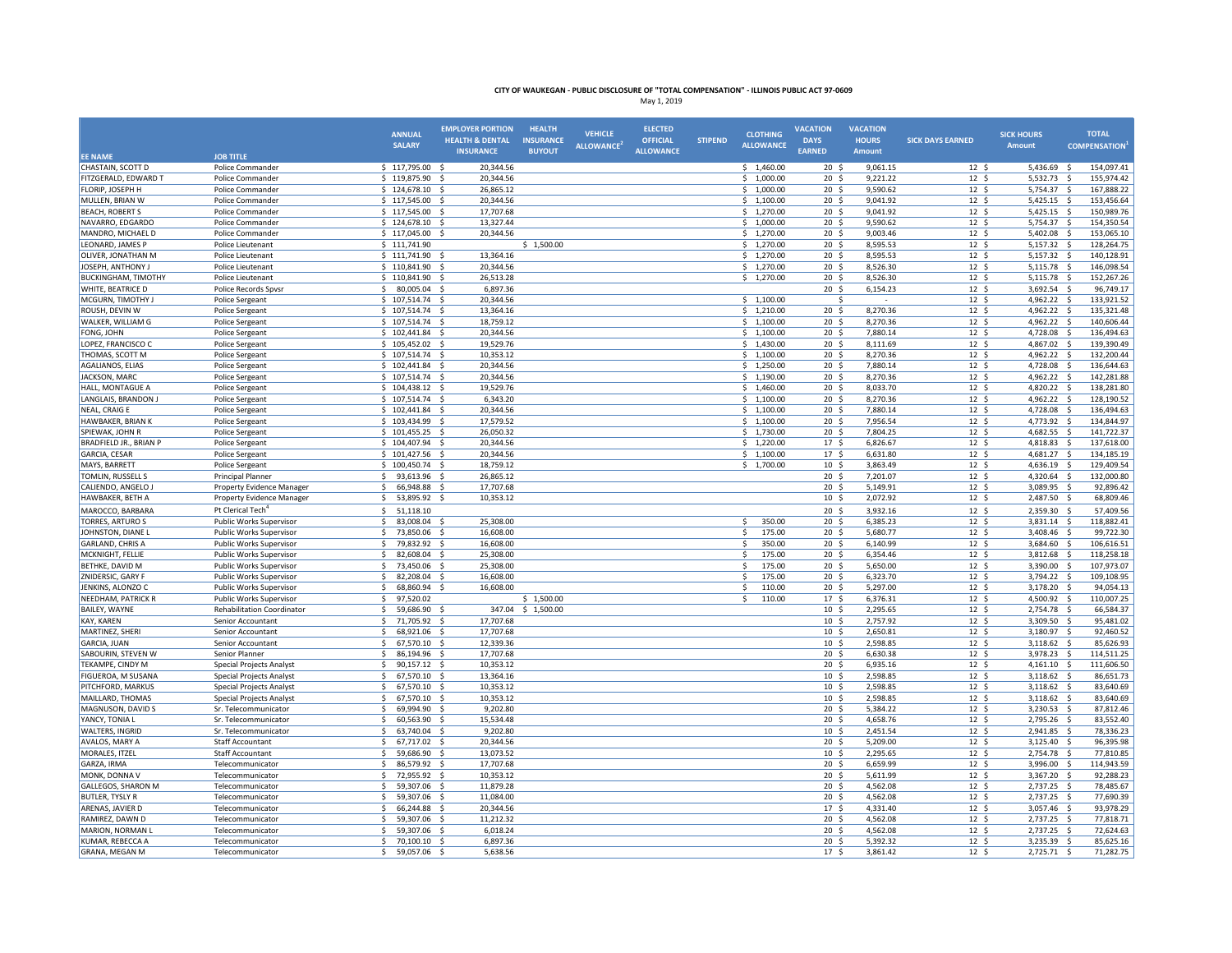|                                            |                                                    | <b>ANNUAL</b>                           | <b>EMPLOYER PORTION</b>         | <b>HEALTH</b>    | <b>VEHICLE</b>   | <b>ELECTED</b>   |                | <b>CLOTHING</b>          | <b>VACATION</b>                     | <b>VACATION</b>      |                                     | <b>SICK HOURS</b>       | <b>TOTAL</b>                      |
|--------------------------------------------|----------------------------------------------------|-----------------------------------------|---------------------------------|------------------|------------------|------------------|----------------|--------------------------|-------------------------------------|----------------------|-------------------------------------|-------------------------|-----------------------------------|
|                                            |                                                    | <b>SALARY</b>                           | <b>HEALTH &amp; DENTAL</b>      | <b>INSURANCE</b> | <b>ALLOWANCE</b> | <b>OFFICIAL</b>  | <b>STIPEND</b> | <b>ALLOWANCE</b>         | <b>DAYS</b>                         | <b>HOURS</b>         | <b>SICK DAYS EARNED</b>             | <b>Amount</b>           | <b>COMPENSATION</b>               |
| <b>EE NAME</b>                             | <b>JOB TITLE</b>                                   |                                         | <b>INSURANCE</b>                | <b>BUYOUT</b>    |                  | <b>ALLOWANCE</b> |                |                          | <b>EARNED</b>                       | Amount               |                                     |                         |                                   |
| CHASTAIN, SCOTT D                          | Police Commander                                   | \$117,795.00\$                          | 20,344.56                       |                  |                  |                  |                | \$1,460.00               | $20 \frac{2}{3}$                    | 9,061.15             | $12 \; \text{S}$                    | 5,436.69 \$             | 154,097.41                        |
| FITZGERALD, EDWARD T                       | Police Commander                                   | $$119,875.90$ \$                        | 20,344.56                       |                  |                  |                  |                | \$1,000.00               | 20 <sub>5</sub>                     | 9,221.22             | 12 <sup>5</sup>                     | 5,532.73 \$             | 155,974.42                        |
| FLORIP, JOSEPH H                           | Police Commander                                   | \$124,678.10                            | 26,865.12<br>- \$               |                  |                  |                  |                | \$1,000.00               | $20 \frac{2}{3}$                    | 9,590.62             | $12 \;$ \$                          | 5,754.37                | -\$<br>167,888.22                 |
| MULLEN, BRIAN W                            | Police Commander                                   | \$117,545.00                            | 20,344.56<br>- S                |                  |                  |                  |                | \$1,100.00               | 20 <sub>5</sub>                     | 9,041.92             | 12 <sup>5</sup>                     | 5,425.15                | S.<br>153,456.64                  |
| <b>BEACH, ROBERT S</b>                     | Police Commander                                   | \$117,545.00\$                          | 17,707.68                       |                  |                  |                  |                | \$1,270.00               | 20 <sub>5</sub>                     | 9,041.92             | $12 \frac{2}{7}$                    | 5,425.15 \$             | 150,989.76                        |
| NAVARRO, EDGARDO                           | Police Commander                                   | \$124,678.10\$                          | 13,327.44                       |                  |                  |                  |                | \$1,000.00               | 20 <sub>5</sub>                     | 9,590.62             | 12 <sup>5</sup>                     | 5,754.37                | 154,350.54<br>-\$                 |
| MANDRO, MICHAEL D                          | Police Commander                                   | \$117,045.00                            | 20,344.56<br>- \$               |                  |                  |                  |                | \$1,270.00               | 20 <sub>5</sub>                     | 9,003.46             | $12 \;$ \$                          | 5,402.08                | -\$<br>153,065.10                 |
| LEONARD, JAMES P                           | Police Lieutenant                                  | \$111,741.90                            |                                 | \$1,500.00       |                  |                  |                | \$1,270.00               | 20 <sub>5</sub>                     | 8,595.53             | 12 <sup>5</sup>                     | 5,157.32                | -\$<br>128,264.75                 |
| OLIVER, JONATHAN M                         | Police Lieutenant                                  | \$111,741.90                            | 13,364.16<br>- \$               |                  |                  |                  |                | \$1,270.00               | 20 <sub>5</sub>                     | 8,595.53             | 12 <sup>5</sup>                     | 5,157.32                | $\mathsf{S}$<br>140,128.91        |
| JOSEPH, ANTHONY J                          | Police Lieutenant                                  | $$110,841.90$ \$                        | 20,344.56                       |                  |                  |                  |                | \$1,270.00               | 20 <sup>5</sup>                     | 8,526.30             | 12 <sup>5</sup>                     | 5,115.78 \$             | 146,098.54                        |
| <b>BUCKINGHAM, TIMOTHY</b>                 | Police Lieutenant                                  | \$110,841.90                            | $\mathsf{s}$<br>26,513.28       |                  |                  |                  |                | \$1,270.00               | 20 <sub>5</sub>                     | 8,526.30             | 12 <sup>5</sup>                     | 5,115.78                | S.<br>152,267.26                  |
| WHITE, BEATRICE D                          | Police Records Spvsr                               | \$<br>80,005.04                         | 6,897.36                        |                  |                  |                  |                |                          | 20 <sub>5</sub>                     | 6,154.23             | 12 <sup>5</sup>                     | 3,692.54 \$             | 96,749.17                         |
| MCGURN, TIMOTHY J                          | Police Sergeant                                    | $$107,514.74$ \$                        | 20.344.56                       |                  |                  |                  |                | \$1,100.00               | Ś                                   |                      | 12 <sup>5</sup>                     | 4,962.22 \$             | 133,921.52                        |
| ROUSH, DEVIN W                             | Police Sergeant                                    | $$107,514.74$ \$                        | 13,364.16                       |                  |                  |                  |                | \$1,210.00               | 20 <sup>5</sup><br>20 <sub>5</sub>  | 8,270.36             | 12 <sup>5</sup><br>12 <sup>5</sup>  | 4,962.22 \$             | 135,321.48<br>S.                  |
| WALKER, WILLIAM G<br>FONG, JOHN            | Police Sergeant<br>Police Sergeant                 | $$107,514.74$ \$<br>\$102,441.84        | 18,759.12<br>20,344.56<br>- \$  |                  |                  |                  |                | \$1,100.00<br>\$1,100.00 | 20 <sup>5</sup>                     | 8,270.36<br>7,880.14 | 12 <sup>5</sup>                     | 4,962.22<br>4,728.08    | 140,606.44<br>136,494.63<br>-\$   |
| LOPEZ, FRANCISCO C                         | Police Sergeant                                    | 105,452.02 \$                           | 19,529.76                       |                  |                  |                  |                | \$1,430.00               | 20 <sup>5</sup>                     | 8,111.69             | 12 <sup>5</sup>                     | 4,867.02                | -\$<br>139,390.49                 |
| THOMAS, SCOTT M                            | Police Sergeant                                    | $$107,514.74$ \$                        | 10,353.12                       |                  |                  |                  |                | \$1,100.00               | 20 <sub>5</sub>                     | 8,270.36             | 12 <sup>5</sup>                     | 4.962.22 \$             | 132.200.44                        |
| AGALIANOS, ELIAS                           | Police Sergeant                                    | $$102,441.84$ \$                        | 20,344.56                       |                  |                  |                  |                | \$1,250.00               | 20 <sup>5</sup>                     | 7,880.14             | 12 <sup>5</sup>                     | 4,728.08 \$             | 136,644.63                        |
| JACKSON, MARC                              | Police Sergeant                                    | $$107,514.74$ \$                        | 20,344.56                       |                  |                  |                  |                | \$1,190.00               | 20 <sub>5</sub>                     | 8,270.36             | 12 <sup>5</sup>                     | 4,962.22                | 142,281.88<br>s.                  |
| HALL, MONTAGUE A                           | Police Sergeant                                    | \$104,438.12                            | 19,529.76<br>- s                |                  |                  |                  |                | \$1,460.00               | $20 \frac{2}{3}$                    | 8,033.70             | $12 \;$ \$                          | 4,820.22                | -Ś<br>138,281.80                  |
| LANGLAIS, BRANDON J                        | Police Sergeant                                    | $$107,514.74$ \$                        | 6,343.20                        |                  |                  |                  |                | \$1,100.00               | 20 <sub>5</sub>                     | 8,270.36             | $12 \frac{2}{7}$                    | 4,962.22 \$             | 128,190.52                        |
| NEAL, CRAIG E                              | Police Sergeant                                    | \$102,441.84                            | 20,344.56                       |                  |                  |                  |                | \$1,100.00               | $20 \frac{2}{3}$                    | 7,880.14             | $12 \frac{2}{7}$                    | 4,728.08                | 136,494.63<br>- Ś                 |
| <b>HAWBAKER, BRIAN K</b>                   | Police Sergeant                                    | \$103,434.99                            | 17,579.52<br>$\prec$            |                  |                  |                  |                | \$1,100.00               | $20 \frac{2}{3}$                    | 7,956.54             | $12 \div$                           | 4,773.92                | -\$<br>134,844.97                 |
| SPIEWAK, JOHN R                            | Police Sergeant                                    | \$101,455.25                            | 26,050.32<br>-\$                |                  |                  |                  |                | \$1,730.00               | $20 \frac{2}{3}$                    | 7,804.25             | $12 \;$ \$                          | 4,682.55                | $\ddot{\mathsf{s}}$<br>141,722.37 |
| BRADFIELD JR., BRIAN P                     | Police Sergeant                                    | \$<br>104,407.94                        | 20,344.56<br>- \$               |                  |                  |                  |                | \$1,220.00               | 17 <sup>5</sup>                     | 6,826.67             | 12 <sup>5</sup>                     | 4,818.83                | $\mathsf{S}$<br>137,618.00        |
| GARCIA, CESAR                              | Police Sergeant                                    | \$101,427.56                            | 20,344.56                       |                  |                  |                  |                | \$1,100.00               | 17 <sup>5</sup>                     | 6,631.80             | $12 \;$ \$                          | 4,681.27                | 134,185.19<br>-\$                 |
| MAYS, BARRETT                              | Police Sergeant                                    | \$100,450.74\$                          | 18,759.12                       |                  |                  |                  |                | \$1,700.00               | 10 <sup>5</sup>                     | 3,863.49             | 12 <sup>5</sup>                     | 4,636.19 \$             | 129,409.54                        |
| TOMLIN, RUSSELL S                          | Principal Planner                                  | <sub>S</sub><br>93,613.96               | 26,865.12<br>- s                |                  |                  |                  |                |                          | $20 \frac{2}{3}$                    | 7,201.07             | $12 \;$ \$                          | 4,320.64                | $\ddot{\varsigma}$<br>132,000.80  |
| CALIENDO, ANGELO J                         | Property Evidence Manager                          | -Ś<br>66,948.88                         | - \$<br>17,707.68               |                  |                  |                  |                |                          | 20 <sub>5</sub>                     | 5,149.91             | 12 <sup>5</sup>                     | 3,089.95 \$             | 92,896.42                         |
| HAWBAKER, BETH A                           | <b>Property Evidence Manager</b>                   | 53,895.92 \$<br>\$                      | 10,353.12                       |                  |                  |                  |                |                          | 10 <sup>5</sup>                     | 2,072.92             | $12 \;$ \$                          | 2,487.50 \$             | 68,809.46                         |
| MAROCCO, BARBARA                           | Pt Clerical Tech <sup>4</sup>                      | \$<br>51,118.10                         |                                 |                  |                  |                  |                |                          | 20 <sup>5</sup>                     | 3,932.16             | 12 <sup>5</sup>                     | 2,359.30                | 57,409.56<br>-\$                  |
| <b>TORRES, ARTURO S</b>                    | Public Works Supervisor                            | 83,008.04<br>-Ś                         | 25,308.00<br>$\dot{\mathbf{S}}$ |                  |                  |                  |                | \$<br>350.00             | 20 <sub>5</sub>                     | 6,385.23             | 12 <sup>5</sup>                     | 3,831.14 \$             | 118,882.41                        |
| JOHNSTON, DIANE L                          | Public Works Supervisor                            | 73,850.06<br>-S                         | 16,608.00<br>- \$               |                  |                  |                  |                | 175.00<br>\$             | 20 <sub>5</sub>                     | 5,680.77             | $12 \div$                           | $3,408.46$ \$           | 99,722.30                         |
| <b>GARLAND, CHRIS A</b>                    | Public Works Supervisor                            | 79,832.92<br>-S<br>\$                   | 16,608.00<br>- \$<br>$\cdot$    |                  |                  |                  |                | \$<br>350.00<br>\$       | 20 <sub>5</sub>                     | 6,140.99<br>6,354.46 | 12 <sup>5</sup>                     | 3,684.60 \$             | 106,616.51<br>118,258.18          |
| MCKNIGHT, FELLIE<br>BETHKE, DAVID M        | Public Works Supervisor<br>Public Works Supervisor | 82,608.04<br>$\mathcal{S}$<br>73,450.06 | 25,308.00<br>25,308.00<br>-S    |                  |                  |                  |                | 175.00<br>\$<br>175.00   | 20 <sub>5</sub><br>20 <sup>5</sup>  | 5,650.00             | $12 \div$<br>12 <sup>5</sup>        | 3,812.68<br>3,390.00    | -\$<br>-\$<br>107,973.07          |
| ZNIDERSIC, GARY F                          | Public Works Supervisor                            | \$<br>82.208.04                         | 16,608.00<br>- S                |                  |                  |                  |                | S.<br>175.00             | 20 <sub>5</sub>                     | 6.323.70             | 12 <sup>5</sup>                     | 3,794.22 \$             | 109,108.95                        |
| JENKINS, ALONZO O                          | Public Works Supervisor                            | 68,860.94<br>S.                         | 16,608.00<br>- S                |                  |                  |                  |                | 110.00<br>S.             | 20 <sub>5</sub>                     | 5,297.00             | 12 <sup>5</sup>                     | 3,178.20                | 94,054.13<br>-\$                  |
| <b>NEEDHAM, PATRICK R</b>                  | Public Works Supervisor                            | Ŝ.<br>97.520.02                         |                                 | \$1,500.00       |                  |                  |                | S.<br>110.00             | 17 <sup>5</sup>                     | 6,376.31             | 12 <sup>5</sup>                     | 4,500.92                | 110,007.25<br>-Ś                  |
| <b>BAILEY, WAYNE</b>                       | <b>Rehabilitation Coordinator</b>                  | -Ś<br>59,686.90                         | 347.04<br>.s                    | \$1,500.00       |                  |                  |                |                          | 10 <sup>5</sup>                     | 2,295.65             | 12 <sup>5</sup>                     | 2,754.78                | 66,584.37<br>−\$                  |
| <b>KAY, KAREN</b>                          | <b>Senior Accountant</b>                           | $\mathcal{S}$<br>71.705.92              | 17.707.68<br>- Ś                |                  |                  |                  |                |                          | 10 <sup>5</sup>                     | 2.757.92             | 12 <sup>5</sup>                     | 3.309.50                | 95.481.02<br>-Ś                   |
| MARTINEZ, SHERI                            | Senior Accountant                                  | 68,921.06 \$<br>\$                      | 17,707.68                       |                  |                  |                  |                |                          | 10 <sup>5</sup>                     | 2,650.81             | $12 \quad$                          | 3,180.97 \$             | 92,460.52                         |
| <b>GARCIA, JUAN</b>                        | Senior Accountant                                  | \$<br>67,570.10 \$                      | 12,339.36                       |                  |                  |                  |                |                          | 10 <sup>5</sup>                     | 2,598.85             | 12 <sup>5</sup>                     | $3,118.62$ \$           | 85,626.93                         |
| SABOURIN, STEVEN W                         | Senior Planner                                     | S,<br>86,194.96                         | 17,707.68                       |                  |                  |                  |                |                          | $20 \frac{2}{3}$                    | 6,630.38             | $12 \frac{2}{7}$                    | 3,978.23 \$             | 114,511.25                        |
| TEKAMPE, CINDY M                           | Special Projects Analyst                           | -Ś<br>90,157.12 \$                      | 10,353.12                       |                  |                  |                  |                |                          | 20 <sub>5</sub>                     | 6,935.16             | 12 <sup>5</sup>                     | $4,161.10$ \$           | 111,606.50                        |
| FIGUEROA, M SUSANA                         | Special Projects Analyst                           | \$<br>67,570.10 \$                      | 13,364.16                       |                  |                  |                  |                |                          | 10 <sup>5</sup>                     | 2,598.85             | $12 \frac{2}{7}$                    | 3,118.62 \$             | 86,651.73                         |
| PITCHFORD, MARKUS                          | Special Projects Analyst                           | \$<br>67,570.10 \$                      | 10,353.12                       |                  |                  |                  |                |                          | 10 <sup>5</sup>                     | 2,598.85             | 12 <sup>5</sup>                     | 3,118.62 \$             | 83,640.69                         |
| MAILLARD, THOMAS                           | Special Projects Analyst                           | <sub>S</sub><br>67,570.10               | 10,353.12<br>- \$               |                  |                  |                  |                |                          | 10 <sup>5</sup>                     | 2,598.85             | $12 \;$ \$                          | 3,118.62                | 83,640.69<br>-\$                  |
| MAGNUSON, DAVID S                          | Sr. Telecommunicator                               | -Ś<br>69,994.90                         | 9,202.80<br>- s                 |                  |                  |                  |                |                          | 20 <sub>5</sub>                     | 5,384.22             | $\overline{12}$ \$                  | 3,230.53                | 87,812.46<br>-\$                  |
| YANCY, TONIA L                             | Sr. Telecommunicator                               | 60,563.90<br>-Ś                         | 15,534.48<br>- \$               |                  |                  |                  |                |                          | 20 <sub>5</sub>                     | 4,658.76             | $12 \div$                           | 2,795.26 \$             | 83,552.40                         |
| <b>WALTERS, INGRID</b>                     | Sr. Telecommunicator                               | \$<br>63,740.04                         | 9,202.80<br>- S                 |                  |                  |                  |                |                          | 10 <sup>5</sup>                     | 2,451.54             | 12 <sup>5</sup>                     | 2,941.85 \$             | 78,336.23                         |
| <b>AVALOS, MARY A</b>                      | Staff Accountant                                   | \$<br>67,717.02                         | 20,344.56<br>- S                |                  |                  |                  |                |                          | 20 <sub>5</sub>                     | 5,209.00             | $12 \div$                           | 3,125.40 \$             | 96,395.98                         |
| MORALES, ITZEL                             | <b>Staff Accountant</b>                            | \$<br>59,686.90                         | 13,073.52                       |                  |                  |                  |                |                          | 10 <sup>5</sup>                     | 2,295.65             | 12 <sup>5</sup>                     | 2,754.78 \$             | 77,810.85                         |
| GARZA, IRMA                                | Telecommunicator                                   | \$<br>86,579.92                         | 17,707.68<br>- S                |                  |                  |                  |                |                          | 20 <sub>5</sub>                     | 6,659.99             | $12 \;$ \$                          | 3,996.00                | S.<br>114,943.59                  |
| MONK, DONNA V<br><b>GALLEGOS, SHARON M</b> | Telecommunicator<br>Telecommunicator               | 72,955.92 \$<br>\$<br>59,307.06<br>\$   | 10,353.12<br>11,879.28<br>- \$  |                  |                  |                  |                |                          | $20 \frac{2}{3}$<br>20 <sup>5</sup> | 5,611.99<br>4,562.08 | $12 \frac{2}{7}$<br>12 <sup>5</sup> | 3,367.20 \$<br>2,737.25 | 92,288.23<br>78,485.67<br>-\$     |
| <b>BUTLER, TYSLY R</b>                     | Telecommunicator                                   | <sub>S</sub><br>59,307.06               | 11,084.00<br>- Ś                |                  |                  |                  |                |                          | 20 <sub>5</sub>                     | 4,562.08             | 12 <sup>5</sup>                     | 2,737.25                | 77,690.39<br>-\$                  |
| ARENAS, JAVIER D                           | Telecommunicator                                   | 66,244.88<br>-Ś                         | 20,344.56<br>- 5                |                  |                  |                  |                |                          | 17 <sup>5</sup>                     | 4,331.40             | 12 <sup>5</sup>                     | 3,057.46                | 93,978.29<br>-\$                  |
| RAMIREZ, DAWN D                            | Telecommunicator                                   | 59,307.06<br>-Ś                         | 11,212.32<br>- \$               |                  |                  |                  |                |                          | 20 <sub>5</sub>                     | 4,562.08             | 12 <sup>5</sup>                     | 2,737.25 \$             | 77,818.71                         |
| MARION, NORMAN                             | Telecommunicator                                   | 59,307.06<br>-S                         | 6,018.24                        |                  |                  |                  |                |                          | 20 <sub>5</sub>                     | 4,562.08             | 12 <sup>5</sup>                     | 2,737.25 \$             | 72,624.63                         |
| KUMAR, REBECCA A                           | Telecommunicator                                   | Ŝ.<br>70,100.10                         | - \$<br>6,897.36                |                  |                  |                  |                |                          | 20 <sub>5</sub>                     | 5,392.32             | 12 <sup>5</sup>                     | 3,235.39 \$             | 85,625.16                         |
| <b>GRANA, MEGAN M</b>                      | Telecommunicator                                   | Ŝ.<br>59,057.06                         | 5,638.56<br>- \$                |                  |                  |                  |                |                          | 17 <sup>5</sup>                     | 3,861.42             | 12 <sup>5</sup>                     | 2,725.71                | -\$<br>71,282.75                  |